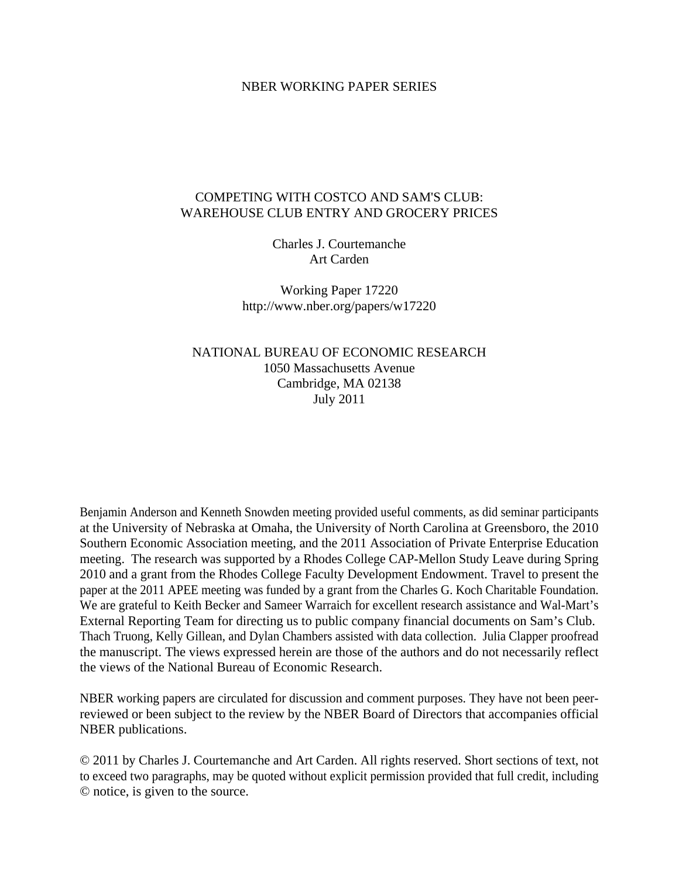#### NBER WORKING PAPER SERIES

## COMPETING WITH COSTCO AND SAM'S CLUB: WAREHOUSE CLUB ENTRY AND GROCERY PRICES

Charles J. Courtemanche Art Carden

Working Paper 17220 http://www.nber.org/papers/w17220

NATIONAL BUREAU OF ECONOMIC RESEARCH 1050 Massachusetts Avenue Cambridge, MA 02138 July 2011

Benjamin Anderson and Kenneth Snowden meeting provided useful comments, as did seminar participants at the University of Nebraska at Omaha, the University of North Carolina at Greensboro, the 2010 Southern Economic Association meeting, and the 2011 Association of Private Enterprise Education meeting. The research was supported by a Rhodes College CAP-Mellon Study Leave during Spring 2010 and a grant from the Rhodes College Faculty Development Endowment. Travel to present the paper at the 2011 APEE meeting was funded by a grant from the Charles G. Koch Charitable Foundation. We are grateful to Keith Becker and Sameer Warraich for excellent research assistance and Wal-Mart's External Reporting Team for directing us to public company financial documents on Sam's Club. Thach Truong, Kelly Gillean, and Dylan Chambers assisted with data collection. Julia Clapper proofread the manuscript. The views expressed herein are those of the authors and do not necessarily reflect the views of the National Bureau of Economic Research.

NBER working papers are circulated for discussion and comment purposes. They have not been peerreviewed or been subject to the review by the NBER Board of Directors that accompanies official NBER publications.

© 2011 by Charles J. Courtemanche and Art Carden. All rights reserved. Short sections of text, not to exceed two paragraphs, may be quoted without explicit permission provided that full credit, including © notice, is given to the source.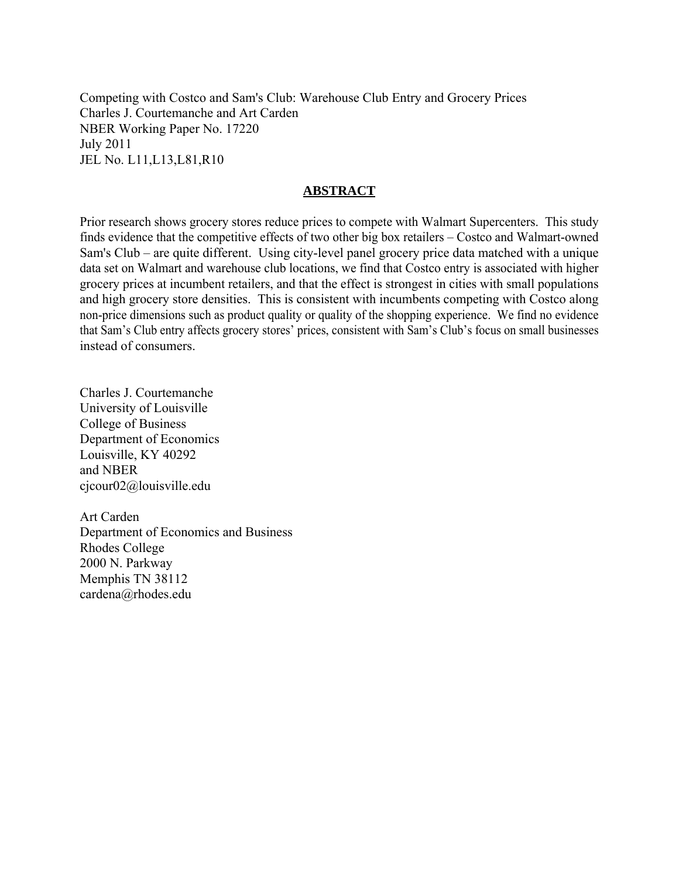Competing with Costco and Sam's Club: Warehouse Club Entry and Grocery Prices Charles J. Courtemanche and Art Carden NBER Working Paper No. 17220 July 2011 JEL No. L11,L13,L81,R10

## **ABSTRACT**

Prior research shows grocery stores reduce prices to compete with Walmart Supercenters. This study finds evidence that the competitive effects of two other big box retailers – Costco and Walmart-owned Sam's Club – are quite different. Using city-level panel grocery price data matched with a unique data set on Walmart and warehouse club locations, we find that Costco entry is associated with higher grocery prices at incumbent retailers, and that the effect is strongest in cities with small populations and high grocery store densities. This is consistent with incumbents competing with Costco along non-price dimensions such as product quality or quality of the shopping experience. We find no evidence that Sam's Club entry affects grocery stores' prices, consistent with Sam's Club's focus on small businesses instead of consumers.

Charles J. Courtemanche University of Louisville College of Business Department of Economics Louisville, KY 40292 and NBER cjcour02@louisville.edu

Art Carden Department of Economics and Business Rhodes College 2000 N. Parkway Memphis TN 38112 cardena@rhodes.edu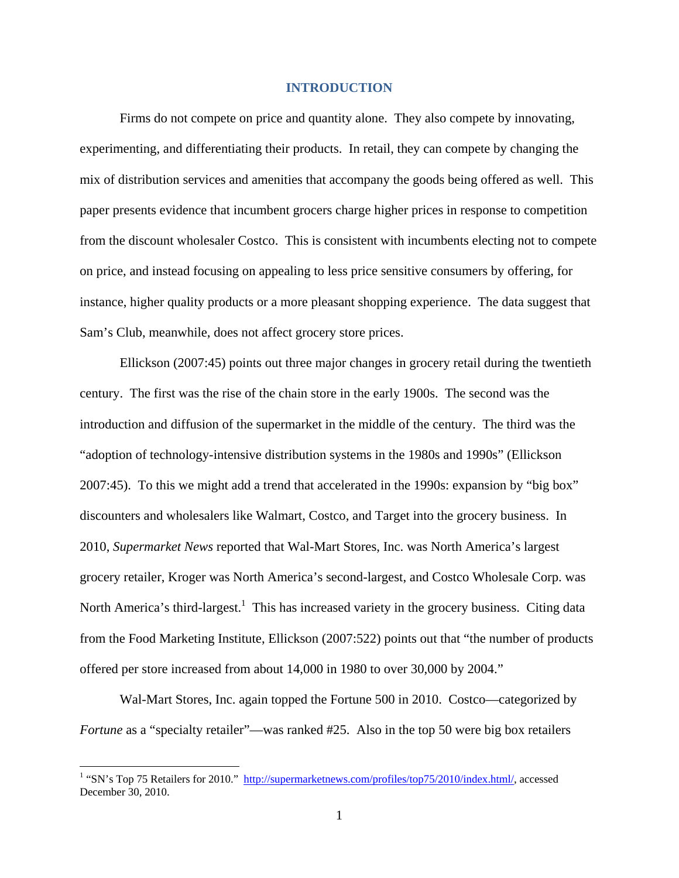#### **INTRODUCTION**

 Firms do not compete on price and quantity alone. They also compete by innovating, experimenting, and differentiating their products. In retail, they can compete by changing the mix of distribution services and amenities that accompany the goods being offered as well. This paper presents evidence that incumbent grocers charge higher prices in response to competition from the discount wholesaler Costco. This is consistent with incumbents electing not to compete on price, and instead focusing on appealing to less price sensitive consumers by offering, for instance, higher quality products or a more pleasant shopping experience. The data suggest that Sam's Club, meanwhile, does not affect grocery store prices.

Ellickson (2007:45) points out three major changes in grocery retail during the twentieth century. The first was the rise of the chain store in the early 1900s. The second was the introduction and diffusion of the supermarket in the middle of the century. The third was the "adoption of technology-intensive distribution systems in the 1980s and 1990s" (Ellickson 2007:45). To this we might add a trend that accelerated in the 1990s: expansion by "big box" discounters and wholesalers like Walmart, Costco, and Target into the grocery business. In 2010, *Supermarket News* reported that Wal-Mart Stores, Inc. was North America's largest grocery retailer, Kroger was North America's second-largest, and Costco Wholesale Corp. was North America's third-largest.<sup>1</sup> This has increased variety in the grocery business. Citing data from the Food Marketing Institute, Ellickson (2007:522) points out that "the number of products offered per store increased from about 14,000 in 1980 to over 30,000 by 2004."

Wal-Mart Stores, Inc. again topped the Fortune 500 in 2010. Costco—categorized by *Fortune* as a "specialty retailer"—was ranked #25. Also in the top 50 were big box retailers

<sup>&</sup>lt;sup>1</sup> "SN's Top 75 Retailers for 2010." http://supermarketnews.com/profiles/top75/2010/index.html/, accessed December 30, 2010.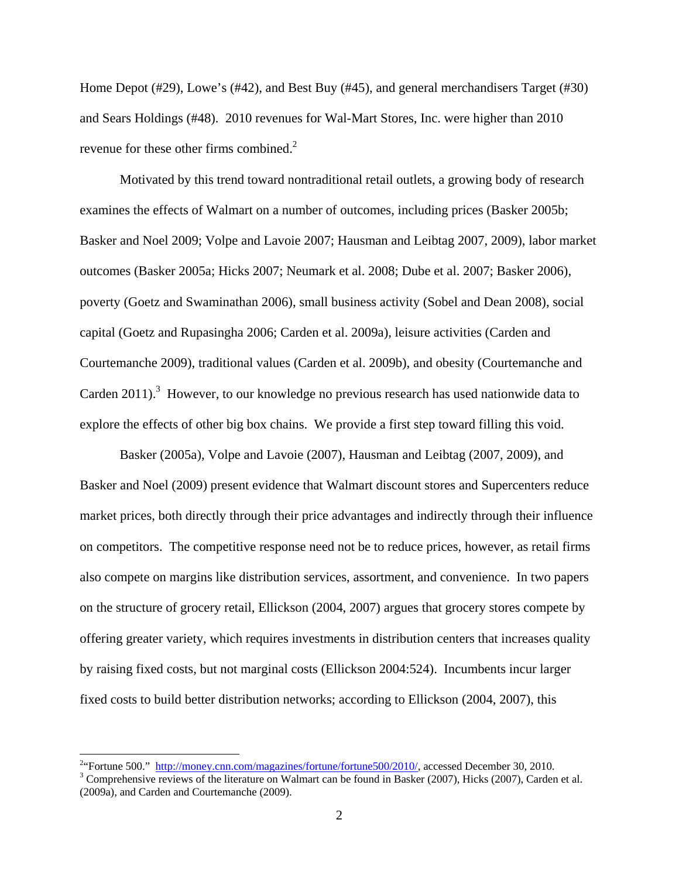Home Depot (#29), Lowe's (#42), and Best Buy (#45), and general merchandisers Target (#30) and Sears Holdings (#48). 2010 revenues for Wal-Mart Stores, Inc. were higher than 2010 revenue for these other firms combined. $<sup>2</sup>$ </sup>

Motivated by this trend toward nontraditional retail outlets, a growing body of research examines the effects of Walmart on a number of outcomes, including prices (Basker 2005b; Basker and Noel 2009; Volpe and Lavoie 2007; Hausman and Leibtag 2007, 2009), labor market outcomes (Basker 2005a; Hicks 2007; Neumark et al. 2008; Dube et al. 2007; Basker 2006), poverty (Goetz and Swaminathan 2006), small business activity (Sobel and Dean 2008), social capital (Goetz and Rupasingha 2006; Carden et al. 2009a), leisure activities (Carden and Courtemanche 2009), traditional values (Carden et al. 2009b), and obesity (Courtemanche and Carden  $2011$ ).<sup>3</sup> However, to our knowledge no previous research has used nationwide data to explore the effects of other big box chains. We provide a first step toward filling this void.

Basker (2005a), Volpe and Lavoie (2007), Hausman and Leibtag (2007, 2009), and Basker and Noel (2009) present evidence that Walmart discount stores and Supercenters reduce market prices, both directly through their price advantages and indirectly through their influence on competitors. The competitive response need not be to reduce prices, however, as retail firms also compete on margins like distribution services, assortment, and convenience. In two papers on the structure of grocery retail, Ellickson (2004, 2007) argues that grocery stores compete by offering greater variety, which requires investments in distribution centers that increases quality by raising fixed costs, but not marginal costs (Ellickson 2004:524). Incumbents incur larger fixed costs to build better distribution networks; according to Ellickson (2004, 2007), this

<sup>&</sup>lt;sup>2</sup> Fortune 500." http://<u>money.cnn.com/magazines/fortune/fortune500/2010/</u>, accessed December 30, 2010.

<sup>&</sup>lt;sup>3</sup> Comprehensive reviews of the literature on Walmart can be found in Basker (2007), Hicks (2007), Carden et al. (2009a), and Carden and Courtemanche (2009).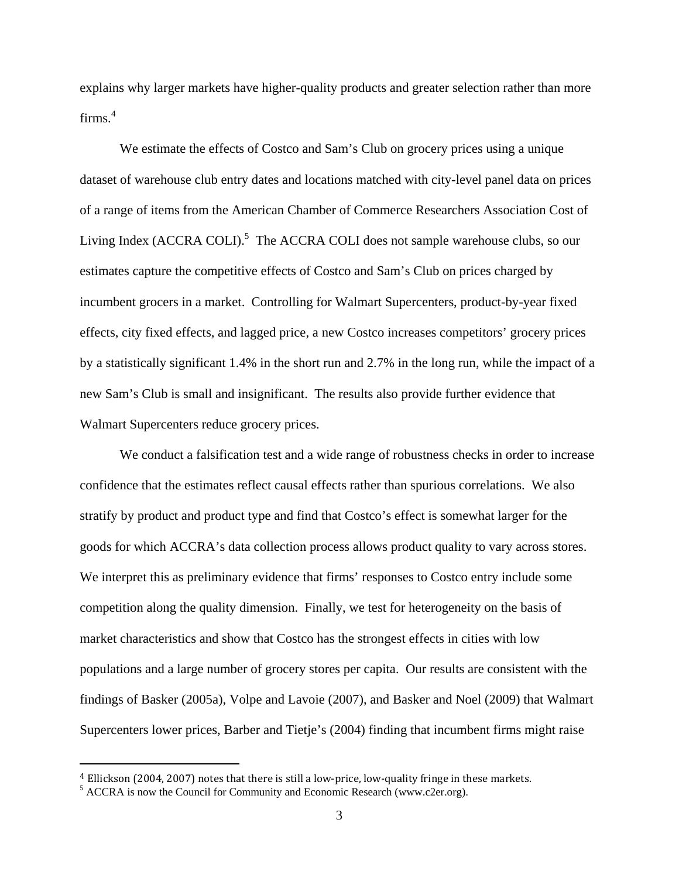explains why larger markets have higher-quality products and greater selection rather than more  $firms.<sup>4</sup>$ 

We estimate the effects of Costco and Sam's Club on grocery prices using a unique dataset of warehouse club entry dates and locations matched with city-level panel data on prices of a range of items from the American Chamber of Commerce Researchers Association Cost of Living Index (ACCRA COLI).<sup>5</sup> The ACCRA COLI does not sample warehouse clubs, so our estimates capture the competitive effects of Costco and Sam's Club on prices charged by incumbent grocers in a market. Controlling for Walmart Supercenters, product-by-year fixed effects, city fixed effects, and lagged price, a new Costco increases competitors' grocery prices by a statistically significant 1.4% in the short run and 2.7% in the long run, while the impact of a new Sam's Club is small and insignificant. The results also provide further evidence that Walmart Supercenters reduce grocery prices.

We conduct a falsification test and a wide range of robustness checks in order to increase confidence that the estimates reflect causal effects rather than spurious correlations. We also stratify by product and product type and find that Costco's effect is somewhat larger for the goods for which ACCRA's data collection process allows product quality to vary across stores. We interpret this as preliminary evidence that firms' responses to Costco entry include some competition along the quality dimension. Finally, we test for heterogeneity on the basis of market characteristics and show that Costco has the strongest effects in cities with low populations and a large number of grocery stores per capita. Our results are consistent with the findings of Basker (2005a), Volpe and Lavoie (2007), and Basker and Noel (2009) that Walmart Supercenters lower prices, Barber and Tietje's (2004) finding that incumbent firms might raise

<sup>&</sup>lt;sup>4</sup> Ellickson (2004, 2007) notes that there is still a low-price, low-quality fringe in these markets.

<sup>&</sup>lt;sup>5</sup> ACCRA is now the Council for Community and Economic Research (www.c2er.org).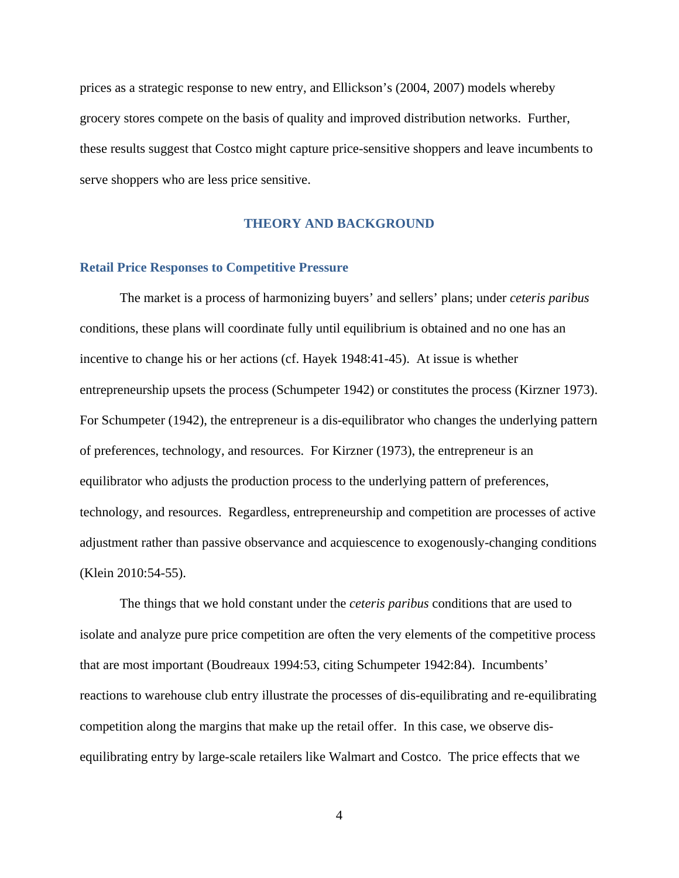prices as a strategic response to new entry, and Ellickson's (2004, 2007) models whereby grocery stores compete on the basis of quality and improved distribution networks. Further, these results suggest that Costco might capture price-sensitive shoppers and leave incumbents to serve shoppers who are less price sensitive.

#### **THEORY AND BACKGROUND**

#### **Retail Price Responses to Competitive Pressure**

The market is a process of harmonizing buyers' and sellers' plans; under *ceteris paribus* conditions, these plans will coordinate fully until equilibrium is obtained and no one has an incentive to change his or her actions (cf. Hayek 1948:41-45). At issue is whether entrepreneurship upsets the process (Schumpeter 1942) or constitutes the process (Kirzner 1973). For Schumpeter (1942), the entrepreneur is a dis-equilibrator who changes the underlying pattern of preferences, technology, and resources. For Kirzner (1973), the entrepreneur is an equilibrator who adjusts the production process to the underlying pattern of preferences, technology, and resources. Regardless, entrepreneurship and competition are processes of active adjustment rather than passive observance and acquiescence to exogenously-changing conditions (Klein 2010:54-55).

The things that we hold constant under the *ceteris paribus* conditions that are used to isolate and analyze pure price competition are often the very elements of the competitive process that are most important (Boudreaux 1994:53, citing Schumpeter 1942:84). Incumbents' reactions to warehouse club entry illustrate the processes of dis-equilibrating and re-equilibrating competition along the margins that make up the retail offer. In this case, we observe disequilibrating entry by large-scale retailers like Walmart and Costco. The price effects that we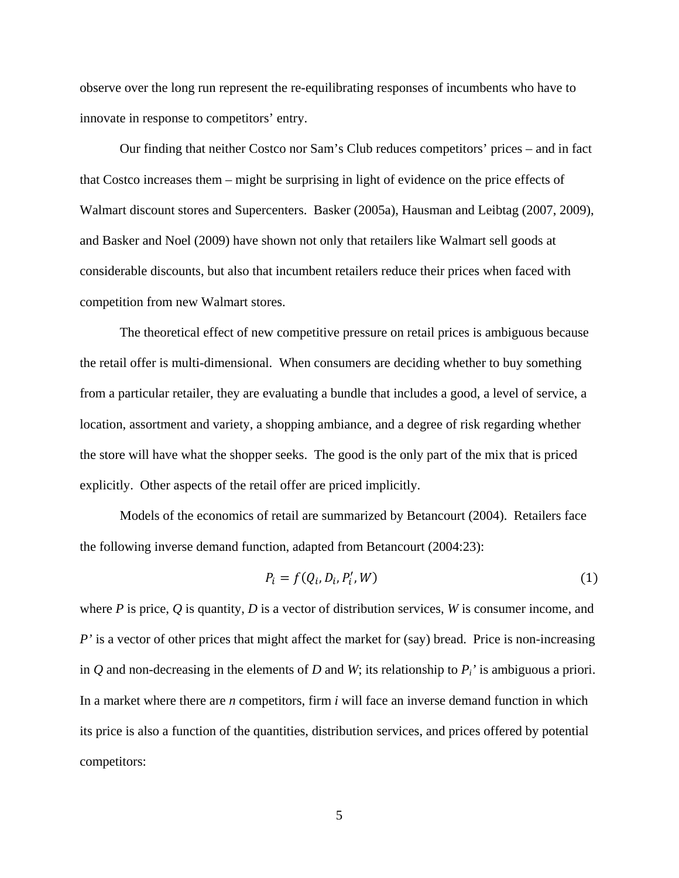observe over the long run represent the re-equilibrating responses of incumbents who have to innovate in response to competitors' entry.

Our finding that neither Costco nor Sam's Club reduces competitors' prices – and in fact that Costco increases them – might be surprising in light of evidence on the price effects of Walmart discount stores and Supercenters. Basker (2005a), Hausman and Leibtag (2007, 2009), and Basker and Noel (2009) have shown not only that retailers like Walmart sell goods at considerable discounts, but also that incumbent retailers reduce their prices when faced with competition from new Walmart stores.

 The theoretical effect of new competitive pressure on retail prices is ambiguous because the retail offer is multi-dimensional. When consumers are deciding whether to buy something from a particular retailer, they are evaluating a bundle that includes a good, a level of service, a location, assortment and variety, a shopping ambiance, and a degree of risk regarding whether the store will have what the shopper seeks. The good is the only part of the mix that is priced explicitly. Other aspects of the retail offer are priced implicitly.

Models of the economics of retail are summarized by Betancourt (2004). Retailers face the following inverse demand function, adapted from Betancourt (2004:23):

$$
P_i = f(Q_i, D_i, P'_i, W) \tag{1}
$$

where *P* is price, *Q* is quantity, *D* is a vector of distribution services, *W* is consumer income, and *P*' is a vector of other prices that might affect the market for (say) bread. Price is non-increasing in  $Q$  and non-decreasing in the elements of  $D$  and  $W$ ; its relationship to  $P_i$ ' is ambiguous a priori. In a market where there are *n* competitors, firm *i* will face an inverse demand function in which its price is also a function of the quantities, distribution services, and prices offered by potential competitors: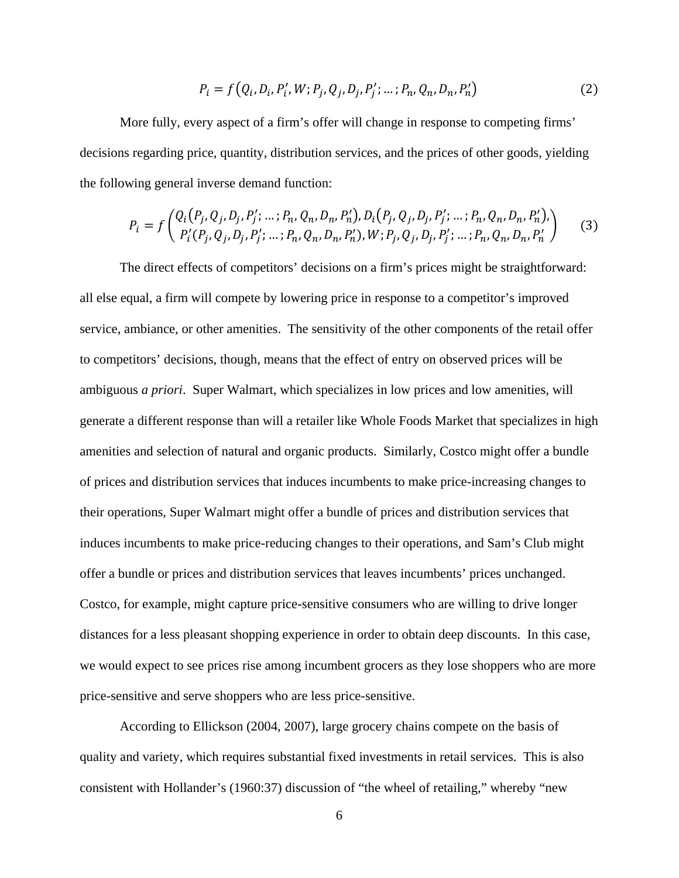$$
P_i = f(Q_i, D_i, P'_i, W; P_j, Q_j, D_j, P'_j; \dots; P_n, Q_n, D_n, P'_n)
$$
\n(2)

More fully, every aspect of a firm's offer will change in response to competing firms' decisions regarding price, quantity, distribution services, and the prices of other goods, yielding the following general inverse demand function:

$$
P_i = f\begin{pmatrix} Q_i(P_j, Q_j, D_j, P'_j; \dots; P_n, Q_n, D_n, P'_n), D_i(P_j, Q_j, D_j, P'_j; \dots; P_n, Q_n, D_n, P'_n), \\ P'_i(P_j, Q_j, D_j, P'_j; \dots; P_n, Q_n, D_n, P'_n), W; P_j, Q_j, D_j, P'_j; \dots; P_n, Q_n, D_n, P'_n \end{pmatrix} \tag{3}
$$

The direct effects of competitors' decisions on a firm's prices might be straightforward: all else equal, a firm will compete by lowering price in response to a competitor's improved service, ambiance, or other amenities. The sensitivity of the other components of the retail offer to competitors' decisions, though, means that the effect of entry on observed prices will be ambiguous *a priori*. Super Walmart, which specializes in low prices and low amenities, will generate a different response than will a retailer like Whole Foods Market that specializes in high amenities and selection of natural and organic products. Similarly, Costco might offer a bundle of prices and distribution services that induces incumbents to make price-increasing changes to their operations, Super Walmart might offer a bundle of prices and distribution services that induces incumbents to make price-reducing changes to their operations, and Sam's Club might offer a bundle or prices and distribution services that leaves incumbents' prices unchanged. Costco, for example, might capture price-sensitive consumers who are willing to drive longer distances for a less pleasant shopping experience in order to obtain deep discounts. In this case, we would expect to see prices rise among incumbent grocers as they lose shoppers who are more price-sensitive and serve shoppers who are less price-sensitive.

According to Ellickson (2004, 2007), large grocery chains compete on the basis of quality and variety, which requires substantial fixed investments in retail services. This is also consistent with Hollander's (1960:37) discussion of "the wheel of retailing," whereby "new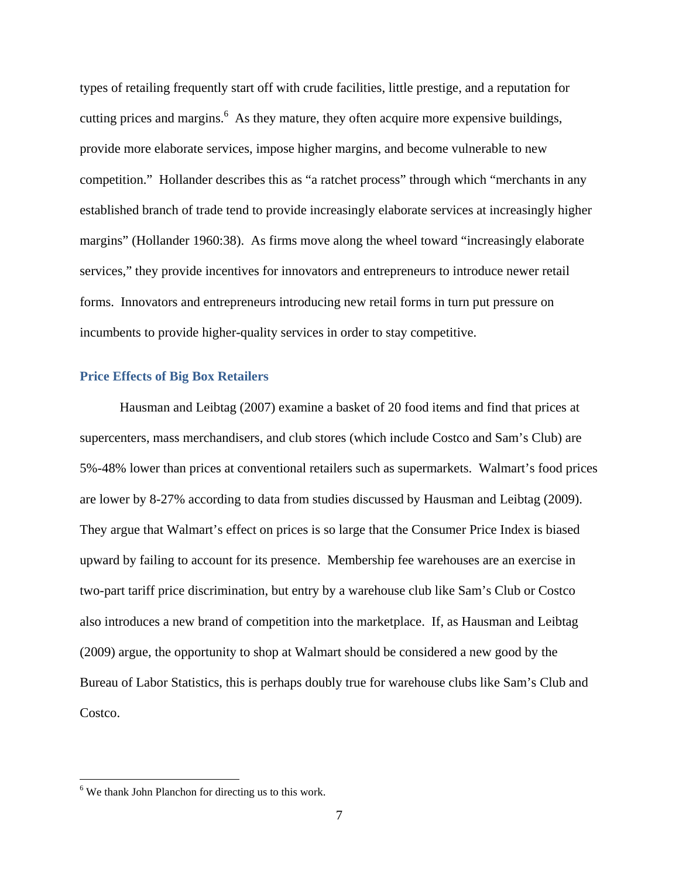types of retailing frequently start off with crude facilities, little prestige, and a reputation for cutting prices and margins.  $6$  As they mature, they often acquire more expensive buildings, provide more elaborate services, impose higher margins, and become vulnerable to new competition." Hollander describes this as "a ratchet process" through which "merchants in any established branch of trade tend to provide increasingly elaborate services at increasingly higher margins" (Hollander 1960:38). As firms move along the wheel toward "increasingly elaborate services," they provide incentives for innovators and entrepreneurs to introduce newer retail forms. Innovators and entrepreneurs introducing new retail forms in turn put pressure on incumbents to provide higher-quality services in order to stay competitive.

#### **Price Effects of Big Box Retailers**

Hausman and Leibtag (2007) examine a basket of 20 food items and find that prices at supercenters, mass merchandisers, and club stores (which include Costco and Sam's Club) are 5%-48% lower than prices at conventional retailers such as supermarkets. Walmart's food prices are lower by 8-27% according to data from studies discussed by Hausman and Leibtag (2009). They argue that Walmart's effect on prices is so large that the Consumer Price Index is biased upward by failing to account for its presence. Membership fee warehouses are an exercise in two-part tariff price discrimination, but entry by a warehouse club like Sam's Club or Costco also introduces a new brand of competition into the marketplace. If, as Hausman and Leibtag (2009) argue, the opportunity to shop at Walmart should be considered a new good by the Bureau of Labor Statistics, this is perhaps doubly true for warehouse clubs like Sam's Club and Costco.

<sup>&</sup>lt;sup>6</sup> We thank John Planchon for directing us to this work.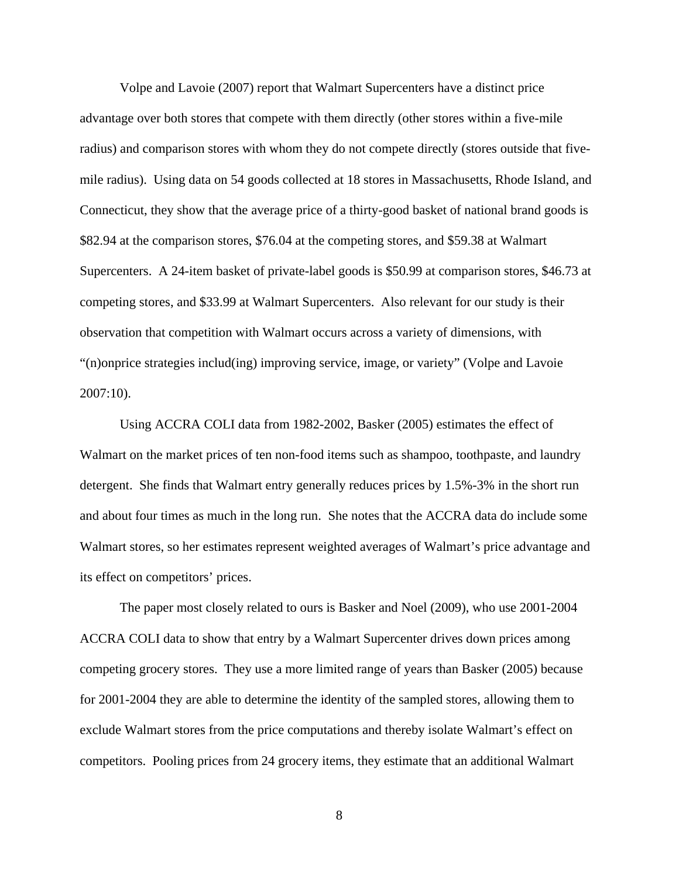Volpe and Lavoie (2007) report that Walmart Supercenters have a distinct price advantage over both stores that compete with them directly (other stores within a five-mile radius) and comparison stores with whom they do not compete directly (stores outside that fivemile radius). Using data on 54 goods collected at 18 stores in Massachusetts, Rhode Island, and Connecticut, they show that the average price of a thirty-good basket of national brand goods is \$82.94 at the comparison stores, \$76.04 at the competing stores, and \$59.38 at Walmart Supercenters. A 24-item basket of private-label goods is \$50.99 at comparison stores, \$46.73 at competing stores, and \$33.99 at Walmart Supercenters. Also relevant for our study is their observation that competition with Walmart occurs across a variety of dimensions, with "(n)onprice strategies includ(ing) improving service, image, or variety" (Volpe and Lavoie 2007:10).

Using ACCRA COLI data from 1982-2002, Basker (2005) estimates the effect of Walmart on the market prices of ten non-food items such as shampoo, toothpaste, and laundry detergent. She finds that Walmart entry generally reduces prices by 1.5%-3% in the short run and about four times as much in the long run. She notes that the ACCRA data do include some Walmart stores, so her estimates represent weighted averages of Walmart's price advantage and its effect on competitors' prices.

The paper most closely related to ours is Basker and Noel (2009), who use 2001-2004 ACCRA COLI data to show that entry by a Walmart Supercenter drives down prices among competing grocery stores. They use a more limited range of years than Basker (2005) because for 2001-2004 they are able to determine the identity of the sampled stores, allowing them to exclude Walmart stores from the price computations and thereby isolate Walmart's effect on competitors. Pooling prices from 24 grocery items, they estimate that an additional Walmart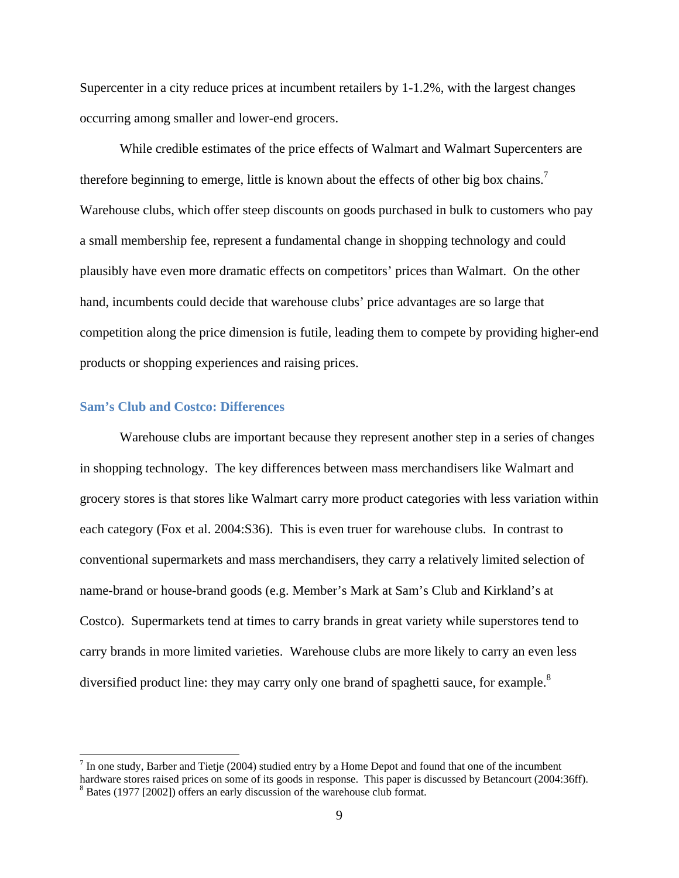Supercenter in a city reduce prices at incumbent retailers by 1-1.2%, with the largest changes occurring among smaller and lower-end grocers.

While credible estimates of the price effects of Walmart and Walmart Supercenters are therefore beginning to emerge, little is known about the effects of other big box chains.<sup>7</sup> Warehouse clubs, which offer steep discounts on goods purchased in bulk to customers who pay a small membership fee, represent a fundamental change in shopping technology and could plausibly have even more dramatic effects on competitors' prices than Walmart. On the other hand, incumbents could decide that warehouse clubs' price advantages are so large that competition along the price dimension is futile, leading them to compete by providing higher-end products or shopping experiences and raising prices.

## **Sam's Club and Costco: Differences**

Warehouse clubs are important because they represent another step in a series of changes in shopping technology. The key differences between mass merchandisers like Walmart and grocery stores is that stores like Walmart carry more product categories with less variation within each category (Fox et al. 2004:S36). This is even truer for warehouse clubs. In contrast to conventional supermarkets and mass merchandisers, they carry a relatively limited selection of name-brand or house-brand goods (e.g. Member's Mark at Sam's Club and Kirkland's at Costco). Supermarkets tend at times to carry brands in great variety while superstores tend to carry brands in more limited varieties. Warehouse clubs are more likely to carry an even less diversified product line: they may carry only one brand of spaghetti sauce, for example.<sup>8</sup>

 $<sup>7</sup>$  In one study, Barber and Tietje (2004) studied entry by a Home Depot and found that one of the incumbent</sup> hardware stores raised prices on some of its goods in response. This paper is discussed by Betancourt (2004:36ff).  $8$  Bates (1977 [2002]) offers an early discussion of the warehouse club format.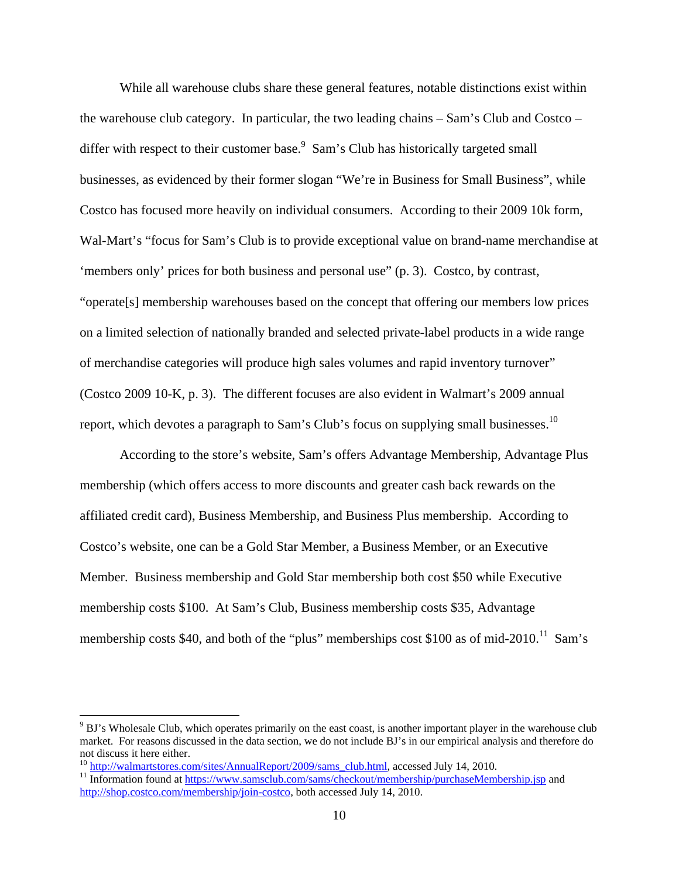While all warehouse clubs share these general features, notable distinctions exist within the warehouse club category. In particular, the two leading chains – Sam's Club and Costco – differ with respect to their customer base.<sup>9</sup> Sam's Club has historically targeted small businesses, as evidenced by their former slogan "We're in Business for Small Business", while Costco has focused more heavily on individual consumers. According to their 2009 10k form, Wal-Mart's "focus for Sam's Club is to provide exceptional value on brand-name merchandise at 'members only' prices for both business and personal use" (p. 3). Costco, by contrast, "operate[s] membership warehouses based on the concept that offering our members low prices on a limited selection of nationally branded and selected private-label products in a wide range of merchandise categories will produce high sales volumes and rapid inventory turnover" (Costco 2009 10-K, p. 3). The different focuses are also evident in Walmart's 2009 annual report, which devotes a paragraph to Sam's Club's focus on supplying small businesses.<sup>10</sup>

According to the store's website, Sam's offers Advantage Membership, Advantage Plus membership (which offers access to more discounts and greater cash back rewards on the affiliated credit card), Business Membership, and Business Plus membership. According to Costco's website, one can be a Gold Star Member, a Business Member, or an Executive Member. Business membership and Gold Star membership both cost \$50 while Executive membership costs \$100. At Sam's Club, Business membership costs \$35, Advantage membership costs \$40, and both of the "plus" memberships cost \$100 as of mid-2010.<sup>11</sup> Sam's

 $9^9$  BJ's Wholesale Club, which operates primarily on the east coast, is another important player in the warehouse club market. For reasons discussed in the data section, we do not include BJ's in our empirical analysis and therefore do not discuss it here either.<br><sup>10</sup> http://walmartstores.com/sites/AnnualReport/2009/sams club.html, accessed July 14, 2010.

 $11$  Information found at https://www.samsclub.com/sams/checkout/membership/purchaseMembership.jsp and http://shop.costco.com/membership/join-costco, both accessed July 14, 2010.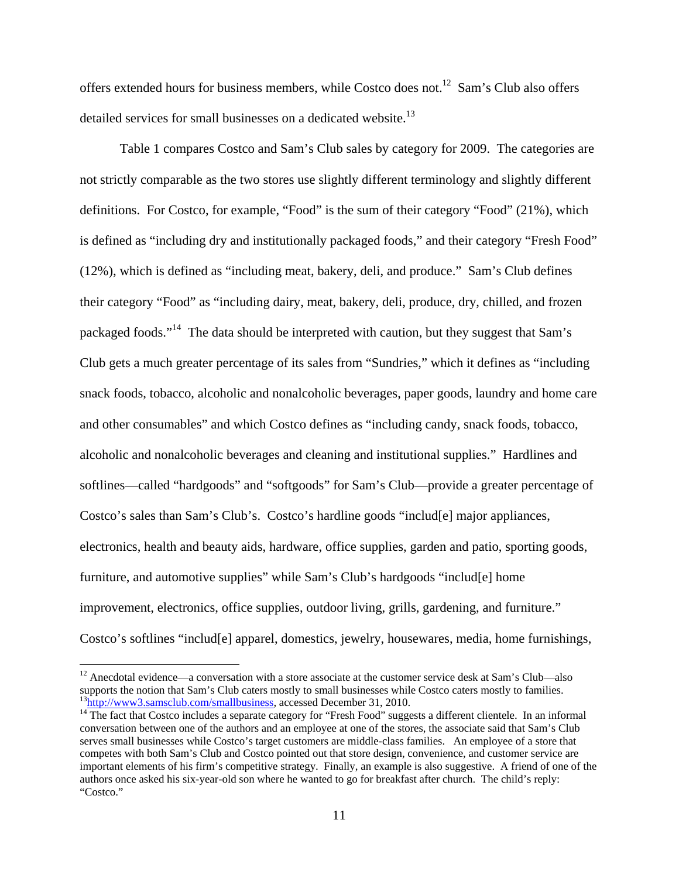offers extended hours for business members, while Costco does not.<sup>12</sup> Sam's Club also offers detailed services for small businesses on a dedicated website.<sup>13</sup>

 Table 1 compares Costco and Sam's Club sales by category for 2009. The categories are not strictly comparable as the two stores use slightly different terminology and slightly different definitions. For Costco, for example, "Food" is the sum of their category "Food" (21%), which is defined as "including dry and institutionally packaged foods," and their category "Fresh Food" (12%), which is defined as "including meat, bakery, deli, and produce." Sam's Club defines their category "Food" as "including dairy, meat, bakery, deli, produce, dry, chilled, and frozen packaged foods."14 The data should be interpreted with caution, but they suggest that Sam's Club gets a much greater percentage of its sales from "Sundries," which it defines as "including snack foods, tobacco, alcoholic and nonalcoholic beverages, paper goods, laundry and home care and other consumables" and which Costco defines as "including candy, snack foods, tobacco, alcoholic and nonalcoholic beverages and cleaning and institutional supplies." Hardlines and softlines—called "hardgoods" and "softgoods" for Sam's Club—provide a greater percentage of Costco's sales than Sam's Club's. Costco's hardline goods "includ[e] major appliances, electronics, health and beauty aids, hardware, office supplies, garden and patio, sporting goods, furniture, and automotive supplies" while Sam's Club's hardgoods "includ[e] home improvement, electronics, office supplies, outdoor living, grills, gardening, and furniture." Costco's softlines "includ[e] apparel, domestics, jewelry, housewares, media, home furnishings,

 $12$  Anecdotal evidence—a conversation with a store associate at the customer service desk at Sam's Club—also supports the notion that Sam's Club caters mostly to small businesses while Costco caters mostly to families.<br><sup>13</sup>http://www3.samsclub.com/smallbusiness, accessed December 31, 2010.

<sup>&</sup>lt;sup>14</sup> The fact that Costco includes a separate category for "Fresh Food" suggests a different clientele. In an informal conversation between one of the authors and an employee at one of the stores, the associate said that Sam's Club serves small businesses while Costco's target customers are middle-class families. An employee of a store that competes with both Sam's Club and Costco pointed out that store design, convenience, and customer service are important elements of his firm's competitive strategy. Finally, an example is also suggestive. A friend of one of the authors once asked his six-year-old son where he wanted to go for breakfast after church. The child's reply: "Costco."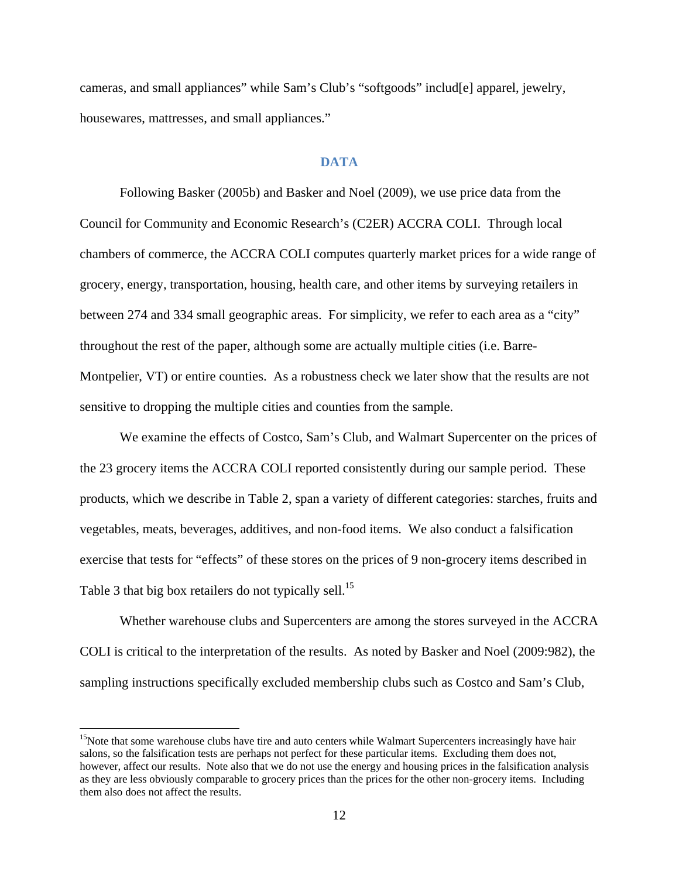cameras, and small appliances" while Sam's Club's "softgoods" includ[e] apparel, jewelry, housewares, mattresses, and small appliances."

#### **DATA**

Following Basker (2005b) and Basker and Noel (2009), we use price data from the Council for Community and Economic Research's (C2ER) ACCRA COLI. Through local chambers of commerce, the ACCRA COLI computes quarterly market prices for a wide range of grocery, energy, transportation, housing, health care, and other items by surveying retailers in between 274 and 334 small geographic areas. For simplicity, we refer to each area as a "city" throughout the rest of the paper, although some are actually multiple cities (i.e. Barre-Montpelier, VT) or entire counties. As a robustness check we later show that the results are not sensitive to dropping the multiple cities and counties from the sample.

We examine the effects of Costco, Sam's Club, and Walmart Supercenter on the prices of the 23 grocery items the ACCRA COLI reported consistently during our sample period. These products, which we describe in Table 2, span a variety of different categories: starches, fruits and vegetables, meats, beverages, additives, and non-food items. We also conduct a falsification exercise that tests for "effects" of these stores on the prices of 9 non-grocery items described in Table 3 that big box retailers do not typically sell.<sup>15</sup>

Whether warehouse clubs and Supercenters are among the stores surveyed in the ACCRA COLI is critical to the interpretation of the results. As noted by Basker and Noel (2009:982), the sampling instructions specifically excluded membership clubs such as Costco and Sam's Club,

<sup>&</sup>lt;sup>15</sup>Note that some warehouse clubs have tire and auto centers while Walmart Supercenters increasingly have hair salons, so the falsification tests are perhaps not perfect for these particular items. Excluding them does not, however, affect our results. Note also that we do not use the energy and housing prices in the falsification analysis as they are less obviously comparable to grocery prices than the prices for the other non-grocery items. Including them also does not affect the results.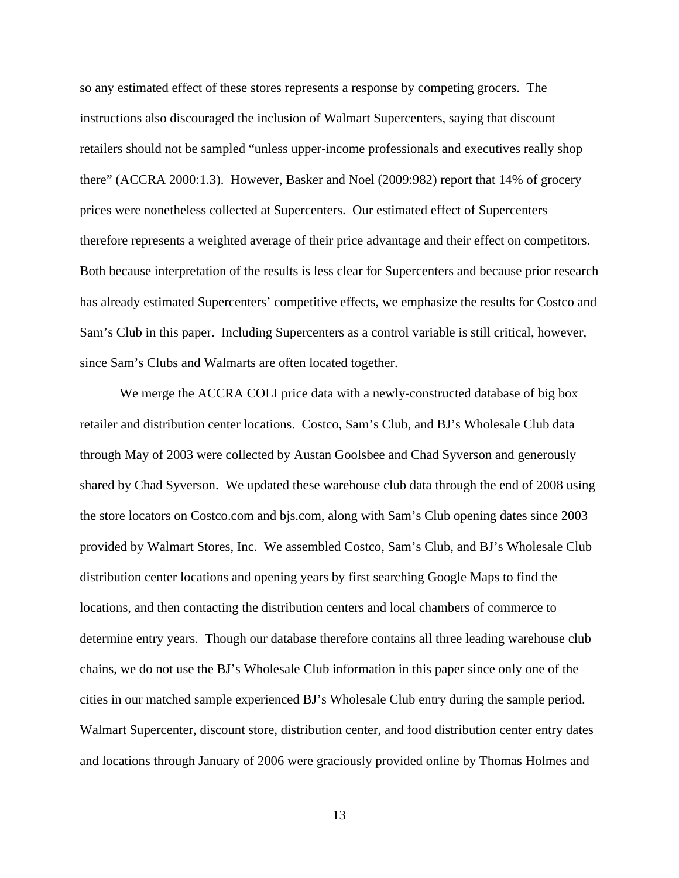so any estimated effect of these stores represents a response by competing grocers. The instructions also discouraged the inclusion of Walmart Supercenters, saying that discount retailers should not be sampled "unless upper-income professionals and executives really shop there" (ACCRA 2000:1.3). However, Basker and Noel (2009:982) report that 14% of grocery prices were nonetheless collected at Supercenters. Our estimated effect of Supercenters therefore represents a weighted average of their price advantage and their effect on competitors. Both because interpretation of the results is less clear for Supercenters and because prior research has already estimated Supercenters' competitive effects, we emphasize the results for Costco and Sam's Club in this paper. Including Supercenters as a control variable is still critical, however, since Sam's Clubs and Walmarts are often located together.

We merge the ACCRA COLI price data with a newly-constructed database of big box retailer and distribution center locations. Costco, Sam's Club, and BJ's Wholesale Club data through May of 2003 were collected by Austan Goolsbee and Chad Syverson and generously shared by Chad Syverson. We updated these warehouse club data through the end of 2008 using the store locators on Costco.com and bjs.com, along with Sam's Club opening dates since 2003 provided by Walmart Stores, Inc. We assembled Costco, Sam's Club, and BJ's Wholesale Club distribution center locations and opening years by first searching Google Maps to find the locations, and then contacting the distribution centers and local chambers of commerce to determine entry years. Though our database therefore contains all three leading warehouse club chains, we do not use the BJ's Wholesale Club information in this paper since only one of the cities in our matched sample experienced BJ's Wholesale Club entry during the sample period. Walmart Supercenter, discount store, distribution center, and food distribution center entry dates and locations through January of 2006 were graciously provided online by Thomas Holmes and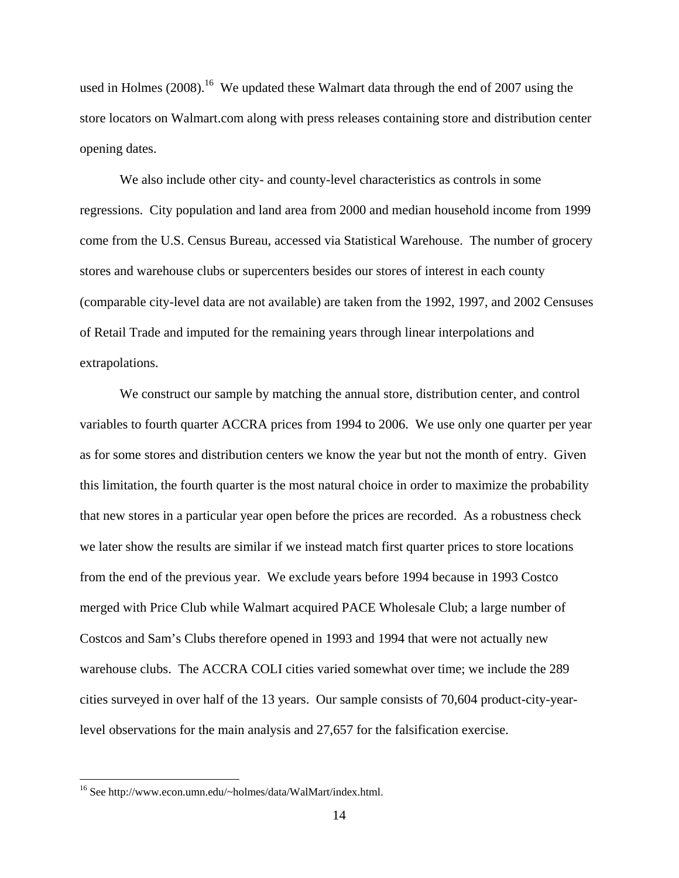used in Holmes (2008).<sup>16</sup> We updated these Walmart data through the end of 2007 using the store locators on Walmart.com along with press releases containing store and distribution center opening dates.

We also include other city- and county-level characteristics as controls in some regressions. City population and land area from 2000 and median household income from 1999 come from the U.S. Census Bureau, accessed via Statistical Warehouse. The number of grocery stores and warehouse clubs or supercenters besides our stores of interest in each county (comparable city-level data are not available) are taken from the 1992, 1997, and 2002 Censuses of Retail Trade and imputed for the remaining years through linear interpolations and extrapolations.

 We construct our sample by matching the annual store, distribution center, and control variables to fourth quarter ACCRA prices from 1994 to 2006. We use only one quarter per year as for some stores and distribution centers we know the year but not the month of entry. Given this limitation, the fourth quarter is the most natural choice in order to maximize the probability that new stores in a particular year open before the prices are recorded. As a robustness check we later show the results are similar if we instead match first quarter prices to store locations from the end of the previous year. We exclude years before 1994 because in 1993 Costco merged with Price Club while Walmart acquired PACE Wholesale Club; a large number of Costcos and Sam's Clubs therefore opened in 1993 and 1994 that were not actually new warehouse clubs. The ACCRA COLI cities varied somewhat over time; we include the 289 cities surveyed in over half of the 13 years. Our sample consists of 70,604 product-city-yearlevel observations for the main analysis and 27,657 for the falsification exercise.

<sup>16</sup> See http://www.econ.umn.edu/~holmes/data/WalMart/index.html.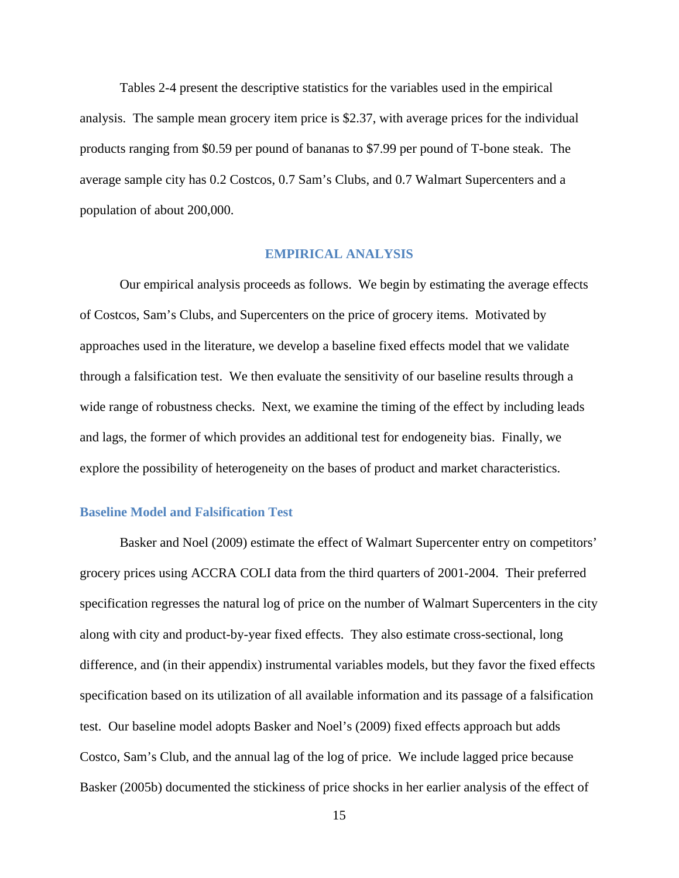Tables 2-4 present the descriptive statistics for the variables used in the empirical analysis. The sample mean grocery item price is \$2.37, with average prices for the individual products ranging from \$0.59 per pound of bananas to \$7.99 per pound of T-bone steak. The average sample city has 0.2 Costcos, 0.7 Sam's Clubs, and 0.7 Walmart Supercenters and a population of about 200,000.

#### **EMPIRICAL ANALYSIS**

Our empirical analysis proceeds as follows. We begin by estimating the average effects of Costcos, Sam's Clubs, and Supercenters on the price of grocery items. Motivated by approaches used in the literature, we develop a baseline fixed effects model that we validate through a falsification test. We then evaluate the sensitivity of our baseline results through a wide range of robustness checks. Next, we examine the timing of the effect by including leads and lags, the former of which provides an additional test for endogeneity bias. Finally, we explore the possibility of heterogeneity on the bases of product and market characteristics.

## **Baseline Model and Falsification Test**

Basker and Noel (2009) estimate the effect of Walmart Supercenter entry on competitors' grocery prices using ACCRA COLI data from the third quarters of 2001-2004. Their preferred specification regresses the natural log of price on the number of Walmart Supercenters in the city along with city and product-by-year fixed effects. They also estimate cross-sectional, long difference, and (in their appendix) instrumental variables models, but they favor the fixed effects specification based on its utilization of all available information and its passage of a falsification test. Our baseline model adopts Basker and Noel's (2009) fixed effects approach but adds Costco, Sam's Club, and the annual lag of the log of price. We include lagged price because Basker (2005b) documented the stickiness of price shocks in her earlier analysis of the effect of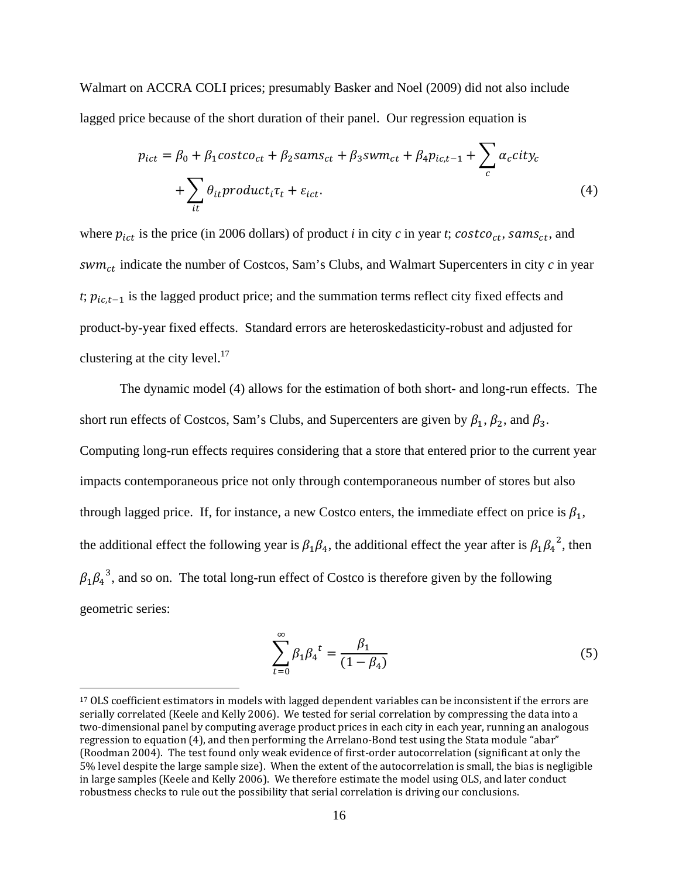Walmart on ACCRA COLI prices; presumably Basker and Noel (2009) did not also include lagged price because of the short duration of their panel. Our regression equation is

$$
p_{ict} = \beta_0 + \beta_1 cost \cdot c_{ct} + \beta_2 sams_{ct} + \beta_3 swm_{ct} + \beta_4 p_{ic,t-1} + \sum_c \alpha_c city_c
$$
  
+ 
$$
\sum_{it} \theta_{it} product_i \tau_t + \varepsilon_{ict}.
$$
 (4)

where  $p_{ict}$  is the price (in 2006 dollars) of product *i* in city *c* in year *t*;  $costc_{ct}$ ,  $sams_{ct}$ , and swm<sub>ct</sub> indicate the number of Costcos, Sam's Clubs, and Walmart Supercenters in city *c* in year  $t$ ;  $p_{i}$ <sub> $t$ </sub> is the lagged product price; and the summation terms reflect city fixed effects and product-by-year fixed effects. Standard errors are heteroskedasticity-robust and adjusted for clustering at the city level. $17$ 

 The dynamic model (4) allows for the estimation of both short- and long-run effects. The short run effects of Costcos, Sam's Clubs, and Supercenters are given by  $\beta_1$ ,  $\beta_2$ , and  $\beta_3$ . Computing long-run effects requires considering that a store that entered prior to the current year impacts contemporaneous price not only through contemporaneous number of stores but also through lagged price. If, for instance, a new Costco enters, the immediate effect on price is  $\beta_1$ , the additional effect the following year is  $\beta_1\beta_4$ , the additional effect the year after is  $\beta_1\beta_4^2$ , then  $\beta_1 \beta_4^3$ , and so on. The total long-run effect of Costco is therefore given by the following geometric series:

$$
\sum_{t=0}^{\infty} \beta_1 \beta_4^t = \frac{\beta_1}{(1 - \beta_4)}
$$
(5)

<sup>&</sup>lt;sup>17</sup> OLS coefficient estimators in models with lagged dependent variables can be inconsistent if the errors are serially correlated (Keele and Kelly 2006). We tested for serial correlation by compressing the data into a two-dimensional panel by computing average product prices in each city in each year, running an analogous regression to equation (4), and then performing the Arrelano-Bond test using the Stata module "abar" (Roodman 2004). The test found only weak evidence of first-order autocorrelation (significant at only the 5% level despite the large sample size). When the extent of the autocorrelation is small, the bias is negligible in large samples (Keele and Kelly 2006). We therefore estimate the model using OLS, and later conduct robustness checks to rule out the possibility that serial correlation is driving our conclusions.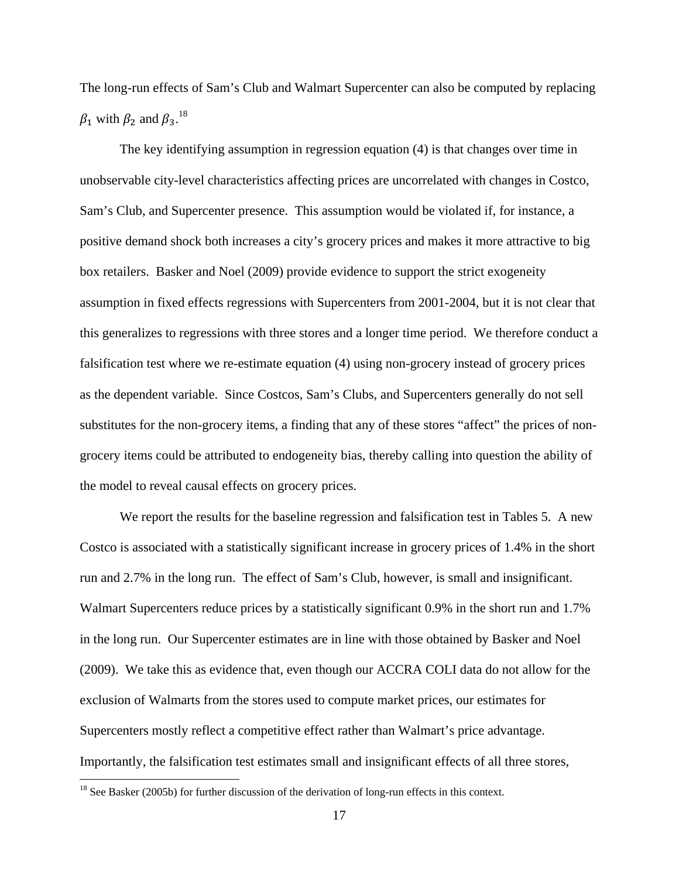The long-run effects of Sam's Club and Walmart Supercenter can also be computed by replacing  $\beta_1$  with  $\beta_2$  and  $\beta_3$ .<sup>18</sup>

The key identifying assumption in regression equation (4) is that changes over time in unobservable city-level characteristics affecting prices are uncorrelated with changes in Costco, Sam's Club, and Supercenter presence. This assumption would be violated if, for instance, a positive demand shock both increases a city's grocery prices and makes it more attractive to big box retailers. Basker and Noel (2009) provide evidence to support the strict exogeneity assumption in fixed effects regressions with Supercenters from 2001-2004, but it is not clear that this generalizes to regressions with three stores and a longer time period. We therefore conduct a falsification test where we re-estimate equation (4) using non-grocery instead of grocery prices as the dependent variable. Since Costcos, Sam's Clubs, and Supercenters generally do not sell substitutes for the non-grocery items, a finding that any of these stores "affect" the prices of nongrocery items could be attributed to endogeneity bias, thereby calling into question the ability of the model to reveal causal effects on grocery prices.

We report the results for the baseline regression and falsification test in Tables 5. A new Costco is associated with a statistically significant increase in grocery prices of 1.4% in the short run and 2.7% in the long run. The effect of Sam's Club, however, is small and insignificant. Walmart Supercenters reduce prices by a statistically significant 0.9% in the short run and 1.7% in the long run. Our Supercenter estimates are in line with those obtained by Basker and Noel (2009). We take this as evidence that, even though our ACCRA COLI data do not allow for the exclusion of Walmarts from the stores used to compute market prices, our estimates for Supercenters mostly reflect a competitive effect rather than Walmart's price advantage. Importantly, the falsification test estimates small and insignificant effects of all three stores,

<sup>&</sup>lt;sup>18</sup> See Basker (2005b) for further discussion of the derivation of long-run effects in this context.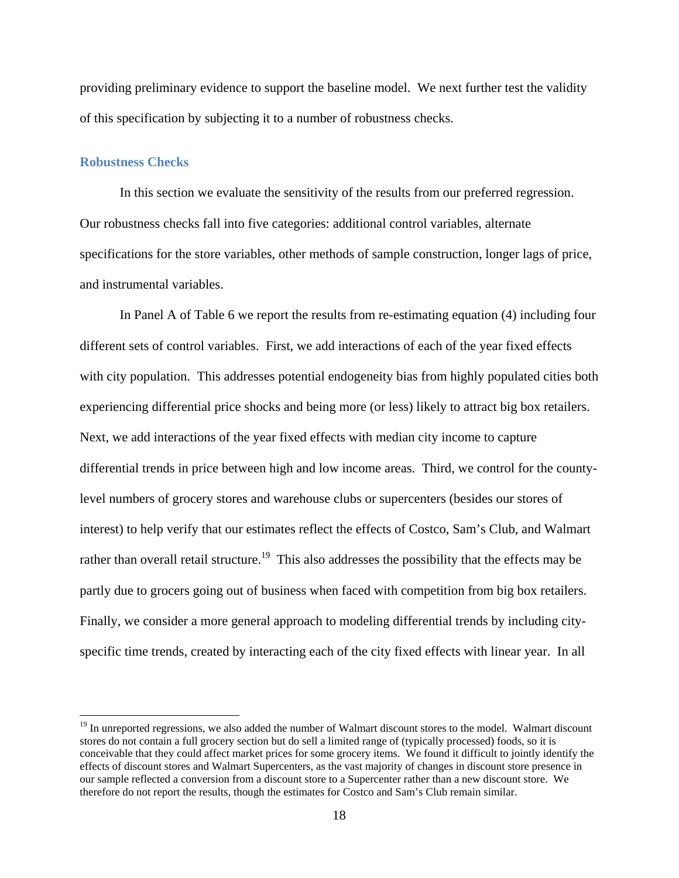providing preliminary evidence to support the baseline model. We next further test the validity of this specification by subjecting it to a number of robustness checks.

## **Robustness Checks**

In this section we evaluate the sensitivity of the results from our preferred regression. Our robustness checks fall into five categories: additional control variables, alternate specifications for the store variables, other methods of sample construction, longer lags of price, and instrumental variables.

In Panel A of Table 6 we report the results from re-estimating equation (4) including four different sets of control variables. First, we add interactions of each of the year fixed effects with city population. This addresses potential endogeneity bias from highly populated cities both experiencing differential price shocks and being more (or less) likely to attract big box retailers. Next, we add interactions of the year fixed effects with median city income to capture differential trends in price between high and low income areas. Third, we control for the countylevel numbers of grocery stores and warehouse clubs or supercenters (besides our stores of interest) to help verify that our estimates reflect the effects of Costco, Sam's Club, and Walmart rather than overall retail structure.<sup>19</sup> This also addresses the possibility that the effects may be partly due to grocers going out of business when faced with competition from big box retailers. Finally, we consider a more general approach to modeling differential trends by including cityspecific time trends, created by interacting each of the city fixed effects with linear year. In all

 $19$  In unreported regressions, we also added the number of Walmart discount stores to the model. Walmart discount stores do not contain a full grocery section but do sell a limited range of (typically processed) foods, so it is conceivable that they could affect market prices for some grocery items. We found it difficult to jointly identify the effects of discount stores and Walmart Supercenters, as the vast majority of changes in discount store presence in our sample reflected a conversion from a discount store to a Supercenter rather than a new discount store. We therefore do not report the results, though the estimates for Costco and Sam's Club remain similar.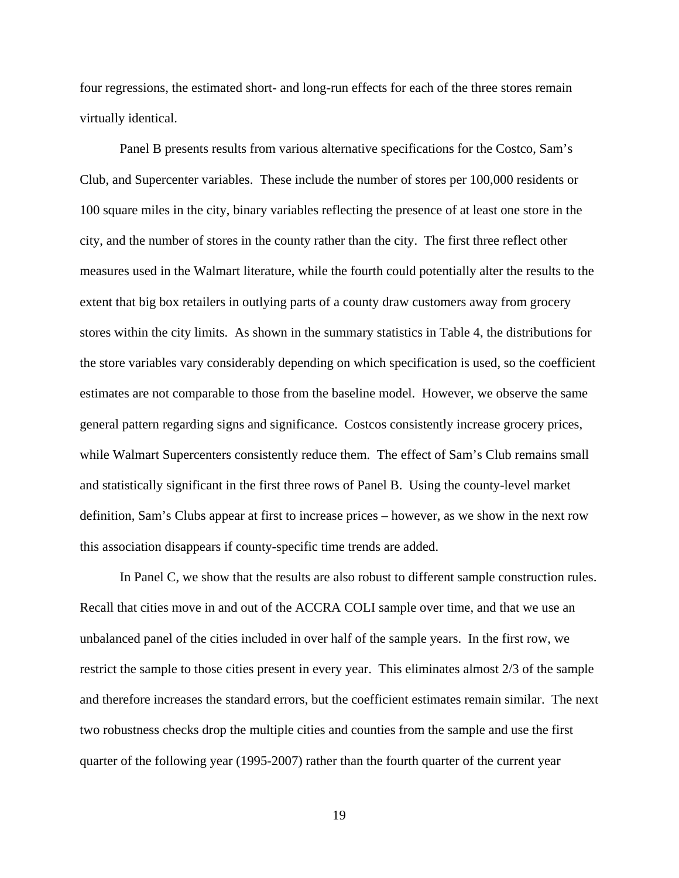four regressions, the estimated short- and long-run effects for each of the three stores remain virtually identical.

Panel B presents results from various alternative specifications for the Costco, Sam's Club, and Supercenter variables. These include the number of stores per 100,000 residents or 100 square miles in the city, binary variables reflecting the presence of at least one store in the city, and the number of stores in the county rather than the city. The first three reflect other measures used in the Walmart literature, while the fourth could potentially alter the results to the extent that big box retailers in outlying parts of a county draw customers away from grocery stores within the city limits. As shown in the summary statistics in Table 4, the distributions for the store variables vary considerably depending on which specification is used, so the coefficient estimates are not comparable to those from the baseline model. However, we observe the same general pattern regarding signs and significance. Costcos consistently increase grocery prices, while Walmart Supercenters consistently reduce them. The effect of Sam's Club remains small and statistically significant in the first three rows of Panel B. Using the county-level market definition, Sam's Clubs appear at first to increase prices – however, as we show in the next row this association disappears if county-specific time trends are added.

 In Panel C, we show that the results are also robust to different sample construction rules. Recall that cities move in and out of the ACCRA COLI sample over time, and that we use an unbalanced panel of the cities included in over half of the sample years. In the first row, we restrict the sample to those cities present in every year. This eliminates almost 2/3 of the sample and therefore increases the standard errors, but the coefficient estimates remain similar. The next two robustness checks drop the multiple cities and counties from the sample and use the first quarter of the following year (1995-2007) rather than the fourth quarter of the current year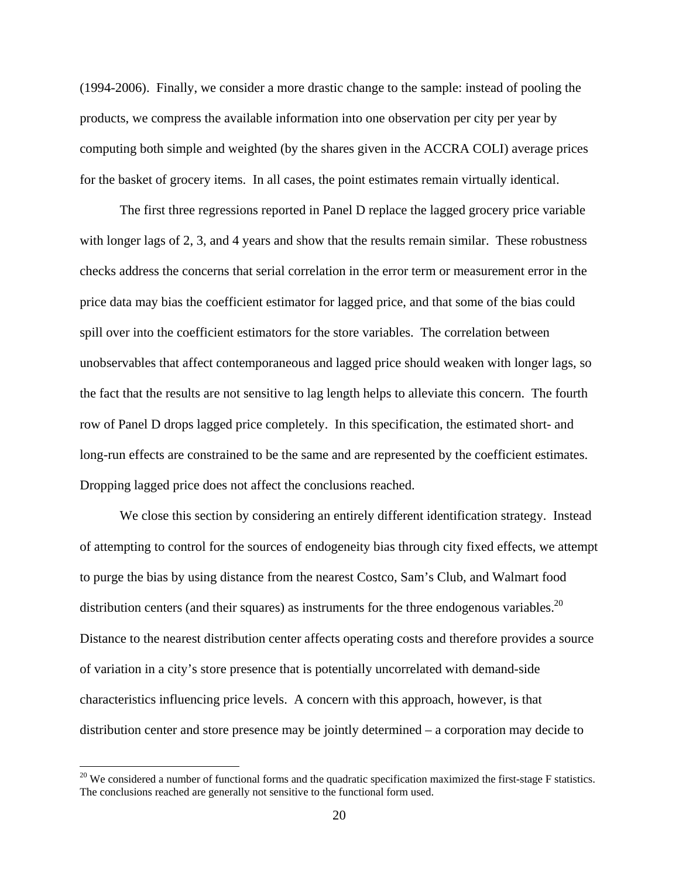(1994-2006). Finally, we consider a more drastic change to the sample: instead of pooling the products, we compress the available information into one observation per city per year by computing both simple and weighted (by the shares given in the ACCRA COLI) average prices for the basket of grocery items. In all cases, the point estimates remain virtually identical.

 The first three regressions reported in Panel D replace the lagged grocery price variable with longer lags of 2, 3, and 4 years and show that the results remain similar. These robustness checks address the concerns that serial correlation in the error term or measurement error in the price data may bias the coefficient estimator for lagged price, and that some of the bias could spill over into the coefficient estimators for the store variables. The correlation between unobservables that affect contemporaneous and lagged price should weaken with longer lags, so the fact that the results are not sensitive to lag length helps to alleviate this concern. The fourth row of Panel D drops lagged price completely. In this specification, the estimated short- and long-run effects are constrained to be the same and are represented by the coefficient estimates. Dropping lagged price does not affect the conclusions reached.

 We close this section by considering an entirely different identification strategy. Instead of attempting to control for the sources of endogeneity bias through city fixed effects, we attempt to purge the bias by using distance from the nearest Costco, Sam's Club, and Walmart food distribution centers (and their squares) as instruments for the three endogenous variables.<sup>20</sup> Distance to the nearest distribution center affects operating costs and therefore provides a source of variation in a city's store presence that is potentially uncorrelated with demand-side characteristics influencing price levels. A concern with this approach, however, is that distribution center and store presence may be jointly determined – a corporation may decide to

 $20$  We considered a number of functional forms and the quadratic specification maximized the first-stage F statistics. The conclusions reached are generally not sensitive to the functional form used.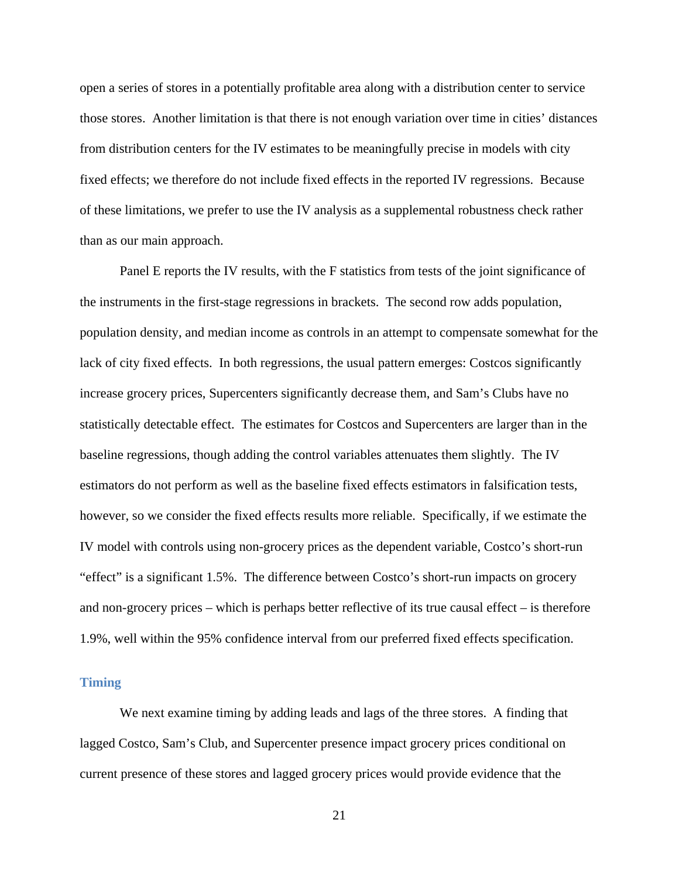open a series of stores in a potentially profitable area along with a distribution center to service those stores. Another limitation is that there is not enough variation over time in cities' distances from distribution centers for the IV estimates to be meaningfully precise in models with city fixed effects; we therefore do not include fixed effects in the reported IV regressions. Because of these limitations, we prefer to use the IV analysis as a supplemental robustness check rather than as our main approach.

 Panel E reports the IV results, with the F statistics from tests of the joint significance of the instruments in the first-stage regressions in brackets. The second row adds population, population density, and median income as controls in an attempt to compensate somewhat for the lack of city fixed effects. In both regressions, the usual pattern emerges: Costcos significantly increase grocery prices, Supercenters significantly decrease them, and Sam's Clubs have no statistically detectable effect. The estimates for Costcos and Supercenters are larger than in the baseline regressions, though adding the control variables attenuates them slightly. The IV estimators do not perform as well as the baseline fixed effects estimators in falsification tests, however, so we consider the fixed effects results more reliable. Specifically, if we estimate the IV model with controls using non-grocery prices as the dependent variable, Costco's short-run "effect" is a significant 1.5%. The difference between Costco's short-run impacts on grocery and non-grocery prices – which is perhaps better reflective of its true causal effect – is therefore 1.9%, well within the 95% confidence interval from our preferred fixed effects specification.

#### **Timing**

 We next examine timing by adding leads and lags of the three stores. A finding that lagged Costco, Sam's Club, and Supercenter presence impact grocery prices conditional on current presence of these stores and lagged grocery prices would provide evidence that the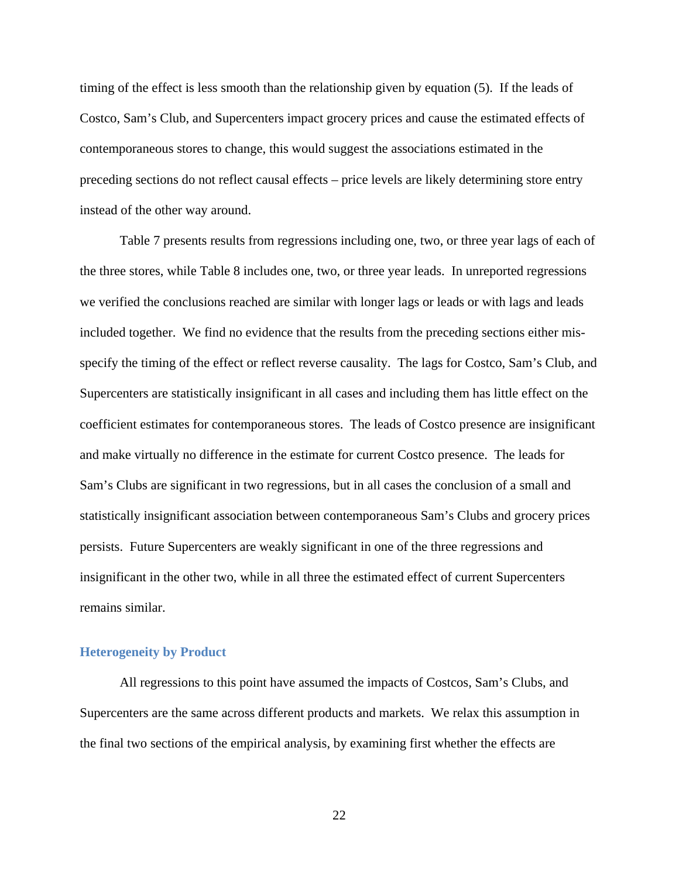timing of the effect is less smooth than the relationship given by equation (5). If the leads of Costco, Sam's Club, and Supercenters impact grocery prices and cause the estimated effects of contemporaneous stores to change, this would suggest the associations estimated in the preceding sections do not reflect causal effects – price levels are likely determining store entry instead of the other way around.

 Table 7 presents results from regressions including one, two, or three year lags of each of the three stores, while Table 8 includes one, two, or three year leads. In unreported regressions we verified the conclusions reached are similar with longer lags or leads or with lags and leads included together. We find no evidence that the results from the preceding sections either misspecify the timing of the effect or reflect reverse causality. The lags for Costco, Sam's Club, and Supercenters are statistically insignificant in all cases and including them has little effect on the coefficient estimates for contemporaneous stores. The leads of Costco presence are insignificant and make virtually no difference in the estimate for current Costco presence. The leads for Sam's Clubs are significant in two regressions, but in all cases the conclusion of a small and statistically insignificant association between contemporaneous Sam's Clubs and grocery prices persists. Future Supercenters are weakly significant in one of the three regressions and insignificant in the other two, while in all three the estimated effect of current Supercenters remains similar.

#### **Heterogeneity by Product**

 All regressions to this point have assumed the impacts of Costcos, Sam's Clubs, and Supercenters are the same across different products and markets. We relax this assumption in the final two sections of the empirical analysis, by examining first whether the effects are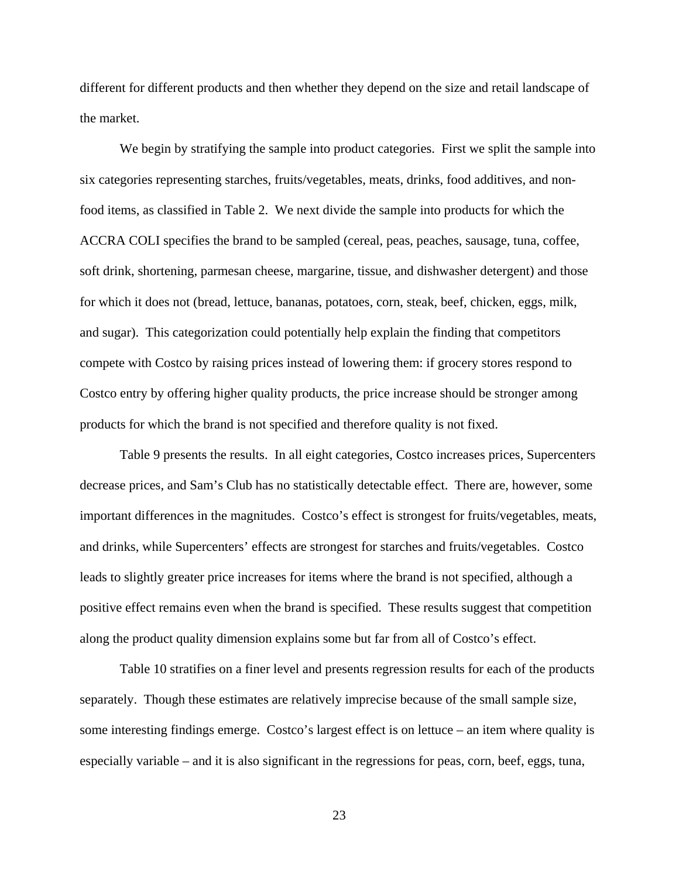different for different products and then whether they depend on the size and retail landscape of the market.

 We begin by stratifying the sample into product categories. First we split the sample into six categories representing starches, fruits/vegetables, meats, drinks, food additives, and nonfood items, as classified in Table 2. We next divide the sample into products for which the ACCRA COLI specifies the brand to be sampled (cereal, peas, peaches, sausage, tuna, coffee, soft drink, shortening, parmesan cheese, margarine, tissue, and dishwasher detergent) and those for which it does not (bread, lettuce, bananas, potatoes, corn, steak, beef, chicken, eggs, milk, and sugar). This categorization could potentially help explain the finding that competitors compete with Costco by raising prices instead of lowering them: if grocery stores respond to Costco entry by offering higher quality products, the price increase should be stronger among products for which the brand is not specified and therefore quality is not fixed.

 Table 9 presents the results. In all eight categories, Costco increases prices, Supercenters decrease prices, and Sam's Club has no statistically detectable effect. There are, however, some important differences in the magnitudes. Costco's effect is strongest for fruits/vegetables, meats, and drinks, while Supercenters' effects are strongest for starches and fruits/vegetables. Costco leads to slightly greater price increases for items where the brand is not specified, although a positive effect remains even when the brand is specified. These results suggest that competition along the product quality dimension explains some but far from all of Costco's effect.

 Table 10 stratifies on a finer level and presents regression results for each of the products separately. Though these estimates are relatively imprecise because of the small sample size, some interesting findings emerge. Costco's largest effect is on lettuce – an item where quality is especially variable – and it is also significant in the regressions for peas, corn, beef, eggs, tuna,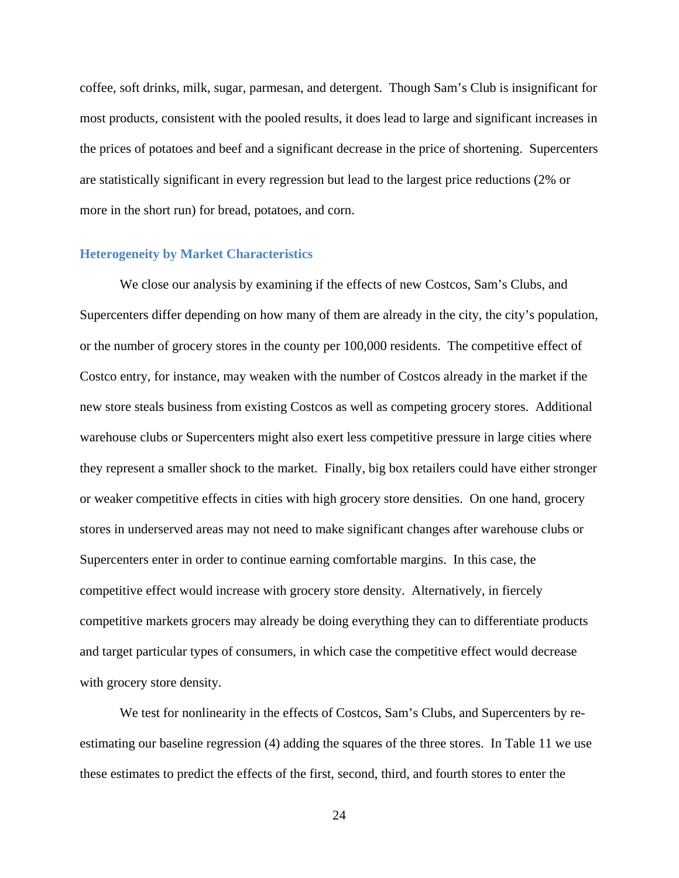coffee, soft drinks, milk, sugar, parmesan, and detergent. Though Sam's Club is insignificant for most products, consistent with the pooled results, it does lead to large and significant increases in the prices of potatoes and beef and a significant decrease in the price of shortening. Supercenters are statistically significant in every regression but lead to the largest price reductions (2% or more in the short run) for bread, potatoes, and corn.

#### **Heterogeneity by Market Characteristics**

 We close our analysis by examining if the effects of new Costcos, Sam's Clubs, and Supercenters differ depending on how many of them are already in the city, the city's population, or the number of grocery stores in the county per 100,000 residents. The competitive effect of Costco entry, for instance, may weaken with the number of Costcos already in the market if the new store steals business from existing Costcos as well as competing grocery stores. Additional warehouse clubs or Supercenters might also exert less competitive pressure in large cities where they represent a smaller shock to the market. Finally, big box retailers could have either stronger or weaker competitive effects in cities with high grocery store densities. On one hand, grocery stores in underserved areas may not need to make significant changes after warehouse clubs or Supercenters enter in order to continue earning comfortable margins. In this case, the competitive effect would increase with grocery store density. Alternatively, in fiercely competitive markets grocers may already be doing everything they can to differentiate products and target particular types of consumers, in which case the competitive effect would decrease with grocery store density.

 We test for nonlinearity in the effects of Costcos, Sam's Clubs, and Supercenters by reestimating our baseline regression (4) adding the squares of the three stores. In Table 11 we use these estimates to predict the effects of the first, second, third, and fourth stores to enter the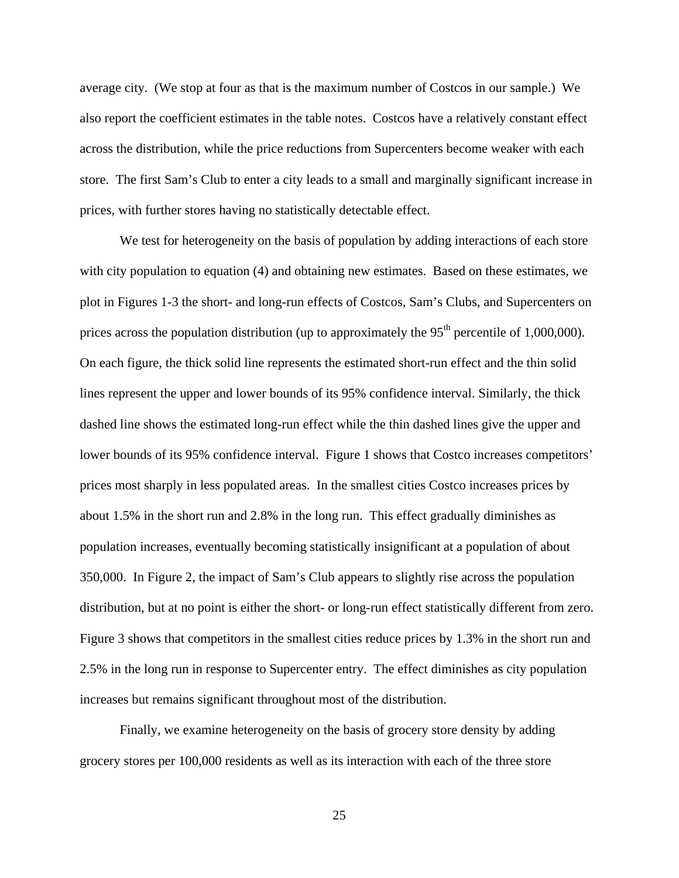average city. (We stop at four as that is the maximum number of Costcos in our sample.) We also report the coefficient estimates in the table notes. Costcos have a relatively constant effect across the distribution, while the price reductions from Supercenters become weaker with each store. The first Sam's Club to enter a city leads to a small and marginally significant increase in prices, with further stores having no statistically detectable effect.

 We test for heterogeneity on the basis of population by adding interactions of each store with city population to equation (4) and obtaining new estimates. Based on these estimates, we plot in Figures 1-3 the short- and long-run effects of Costcos, Sam's Clubs, and Supercenters on prices across the population distribution (up to approximately the  $95<sup>th</sup>$  percentile of 1,000,000). On each figure, the thick solid line represents the estimated short-run effect and the thin solid lines represent the upper and lower bounds of its 95% confidence interval. Similarly, the thick dashed line shows the estimated long-run effect while the thin dashed lines give the upper and lower bounds of its 95% confidence interval. Figure 1 shows that Costco increases competitors' prices most sharply in less populated areas. In the smallest cities Costco increases prices by about 1.5% in the short run and 2.8% in the long run. This effect gradually diminishes as population increases, eventually becoming statistically insignificant at a population of about 350,000. In Figure 2, the impact of Sam's Club appears to slightly rise across the population distribution, but at no point is either the short- or long-run effect statistically different from zero. Figure 3 shows that competitors in the smallest cities reduce prices by 1.3% in the short run and 2.5% in the long run in response to Supercenter entry. The effect diminishes as city population increases but remains significant throughout most of the distribution.

 Finally, we examine heterogeneity on the basis of grocery store density by adding grocery stores per 100,000 residents as well as its interaction with each of the three store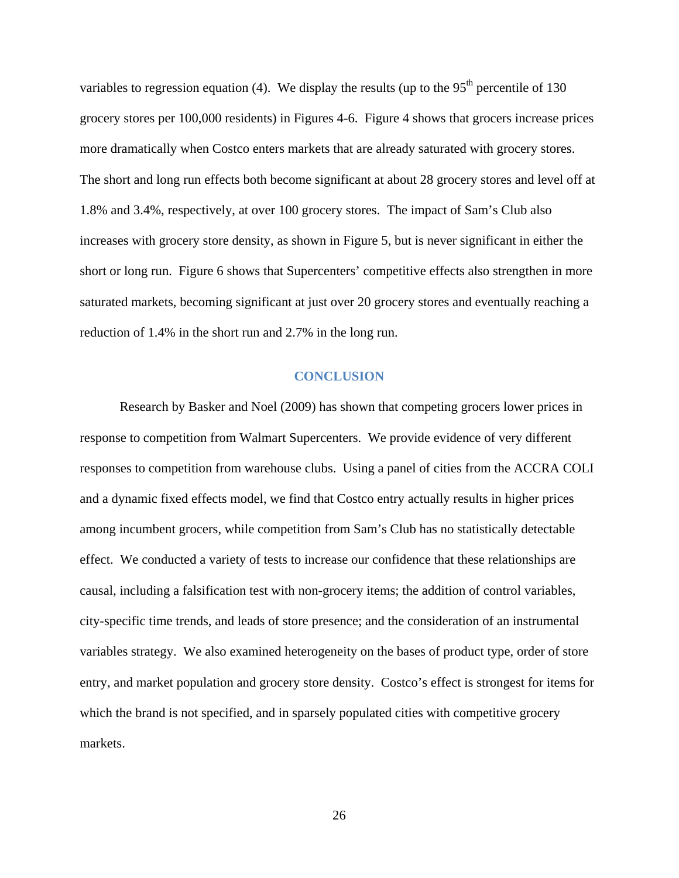variables to regression equation (4). We display the results (up to the  $95<sup>th</sup>$  percentile of 130 grocery stores per 100,000 residents) in Figures 4-6. Figure 4 shows that grocers increase prices more dramatically when Costco enters markets that are already saturated with grocery stores. The short and long run effects both become significant at about 28 grocery stores and level off at 1.8% and 3.4%, respectively, at over 100 grocery stores. The impact of Sam's Club also increases with grocery store density, as shown in Figure 5, but is never significant in either the short or long run. Figure 6 shows that Supercenters' competitive effects also strengthen in more saturated markets, becoming significant at just over 20 grocery stores and eventually reaching a reduction of 1.4% in the short run and 2.7% in the long run.

#### **CONCLUSION**

Research by Basker and Noel (2009) has shown that competing grocers lower prices in response to competition from Walmart Supercenters. We provide evidence of very different responses to competition from warehouse clubs. Using a panel of cities from the ACCRA COLI and a dynamic fixed effects model, we find that Costco entry actually results in higher prices among incumbent grocers, while competition from Sam's Club has no statistically detectable effect. We conducted a variety of tests to increase our confidence that these relationships are causal, including a falsification test with non-grocery items; the addition of control variables, city-specific time trends, and leads of store presence; and the consideration of an instrumental variables strategy. We also examined heterogeneity on the bases of product type, order of store entry, and market population and grocery store density. Costco's effect is strongest for items for which the brand is not specified, and in sparsely populated cities with competitive grocery markets.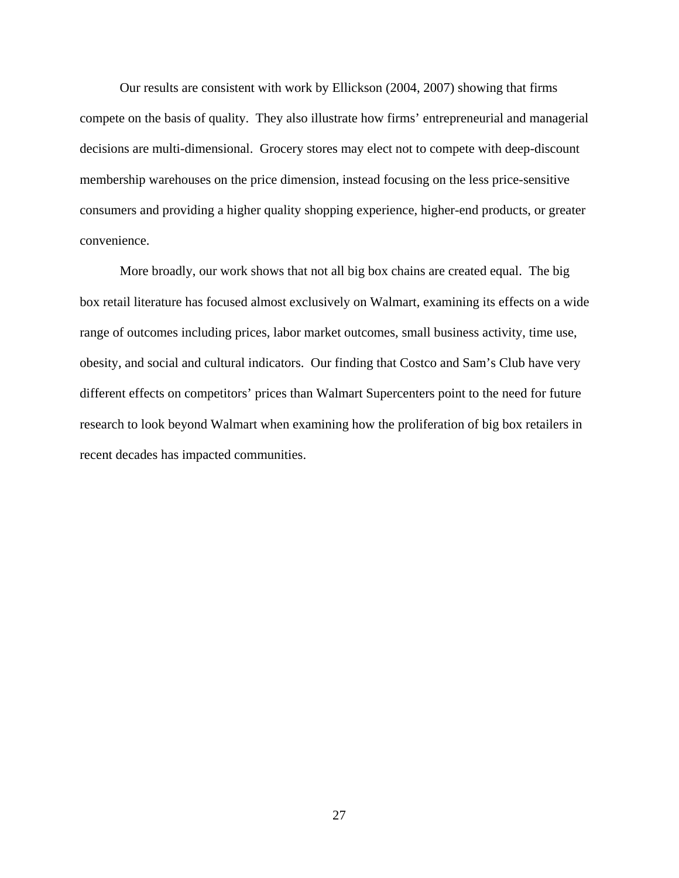Our results are consistent with work by Ellickson (2004, 2007) showing that firms compete on the basis of quality. They also illustrate how firms' entrepreneurial and managerial decisions are multi-dimensional. Grocery stores may elect not to compete with deep-discount membership warehouses on the price dimension, instead focusing on the less price-sensitive consumers and providing a higher quality shopping experience, higher-end products, or greater convenience.

More broadly, our work shows that not all big box chains are created equal. The big box retail literature has focused almost exclusively on Walmart, examining its effects on a wide range of outcomes including prices, labor market outcomes, small business activity, time use, obesity, and social and cultural indicators. Our finding that Costco and Sam's Club have very different effects on competitors' prices than Walmart Supercenters point to the need for future research to look beyond Walmart when examining how the proliferation of big box retailers in recent decades has impacted communities.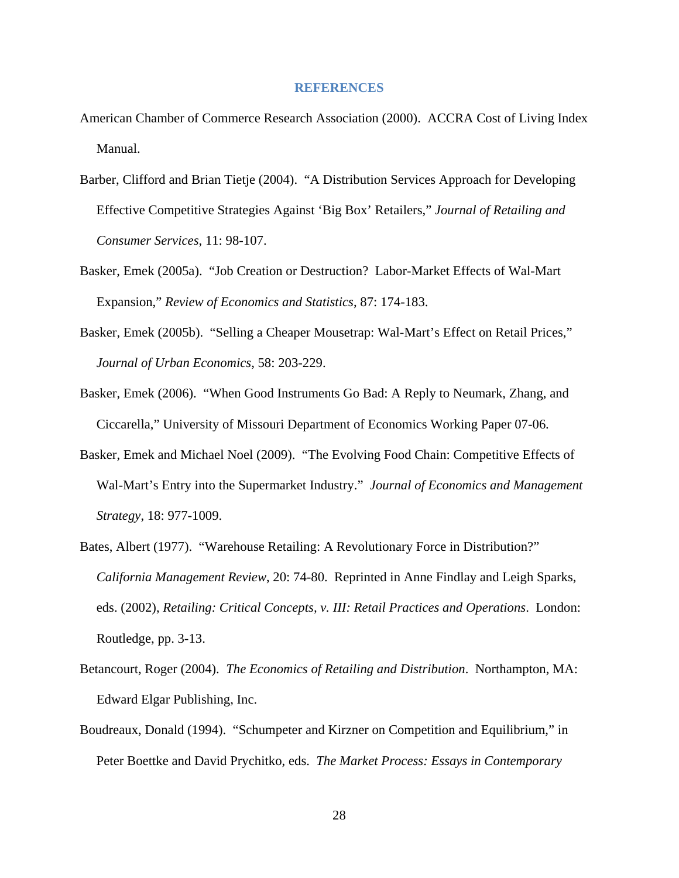#### **REFERENCES**

- American Chamber of Commerce Research Association (2000). ACCRA Cost of Living Index Manual.
- Barber, Clifford and Brian Tietje (2004). "A Distribution Services Approach for Developing Effective Competitive Strategies Against 'Big Box' Retailers," *Journal of Retailing and Consumer Services*, 11: 98-107.
- Basker, Emek (2005a). "Job Creation or Destruction? Labor-Market Effects of Wal-Mart Expansion," *Review of Economics and Statistics*, 87: 174-183.
- Basker, Emek (2005b). "Selling a Cheaper Mousetrap: Wal-Mart's Effect on Retail Prices," *Journal of Urban Economics*, 58: 203-229.
- Basker, Emek (2006). "When Good Instruments Go Bad: A Reply to Neumark, Zhang, and Ciccarella," University of Missouri Department of Economics Working Paper 07-06.
- Basker, Emek and Michael Noel (2009). "The Evolving Food Chain: Competitive Effects of Wal-Mart's Entry into the Supermarket Industry." *Journal of Economics and Management Strategy*, 18: 977-1009.
- Bates, Albert (1977). "Warehouse Retailing: A Revolutionary Force in Distribution?" *California Management Review*, 20: 74-80. Reprinted in Anne Findlay and Leigh Sparks, eds. (2002), *Retailing: Critical Concepts, v. III: Retail Practices and Operations*. London: Routledge, pp. 3-13.
- Betancourt, Roger (2004). *The Economics of Retailing and Distribution*. Northampton, MA: Edward Elgar Publishing, Inc.
- Boudreaux, Donald (1994). "Schumpeter and Kirzner on Competition and Equilibrium," in Peter Boettke and David Prychitko, eds. *The Market Process: Essays in Contemporary*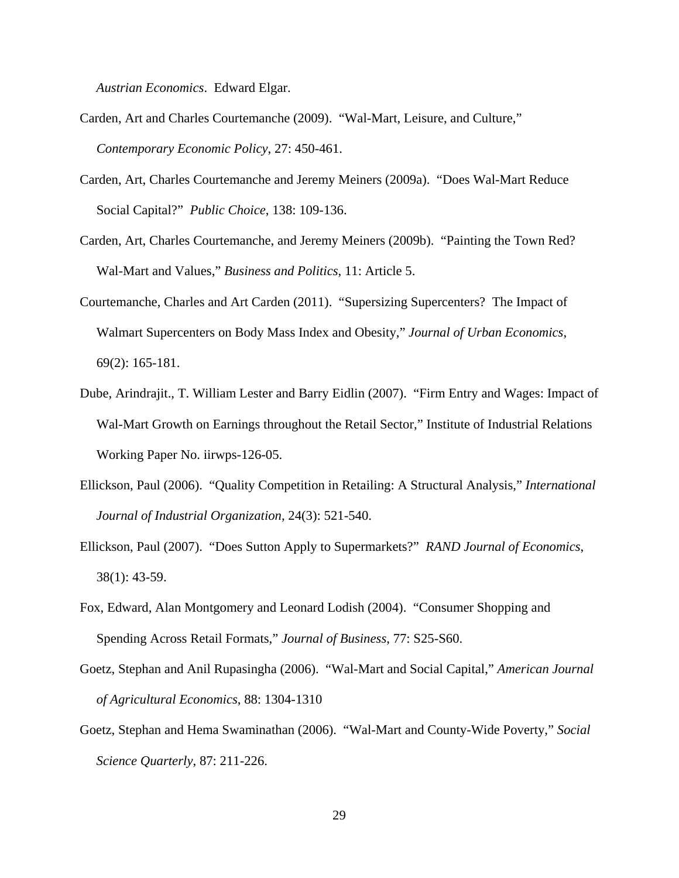*Austrian Economics*. Edward Elgar.

- Carden, Art and Charles Courtemanche (2009). "Wal-Mart, Leisure, and Culture," *Contemporary Economic Policy*, 27: 450-461.
- Carden, Art, Charles Courtemanche and Jeremy Meiners (2009a). "Does Wal-Mart Reduce Social Capital?" *Public Choice*, 138: 109-136.
- Carden, Art, Charles Courtemanche, and Jeremy Meiners (2009b). "Painting the Town Red? Wal-Mart and Values," *Business and Politics*, 11: Article 5.
- Courtemanche, Charles and Art Carden (2011). "Supersizing Supercenters? The Impact of Walmart Supercenters on Body Mass Index and Obesity," *Journal of Urban Economics*, 69(2): 165-181.
- Dube, Arindrajit., T. William Lester and Barry Eidlin (2007). "Firm Entry and Wages: Impact of Wal-Mart Growth on Earnings throughout the Retail Sector," Institute of Industrial Relations Working Paper No. iirwps-126-05.
- Ellickson, Paul (2006). "Quality Competition in Retailing: A Structural Analysis," *International Journal of Industrial Organization*, 24(3): 521-540.
- Ellickson, Paul (2007). "Does Sutton Apply to Supermarkets?" *RAND Journal of Economics*, 38(1): 43-59.
- Fox, Edward, Alan Montgomery and Leonard Lodish (2004). "Consumer Shopping and Spending Across Retail Formats," *Journal of Business*, 77: S25-S60.
- Goetz, Stephan and Anil Rupasingha (2006). "Wal-Mart and Social Capital," *American Journal of Agricultural Economics*, 88: 1304-1310
- Goetz, Stephan and Hema Swaminathan (2006). "Wal-Mart and County-Wide Poverty," *Social Science Quarterly*, 87: 211-226.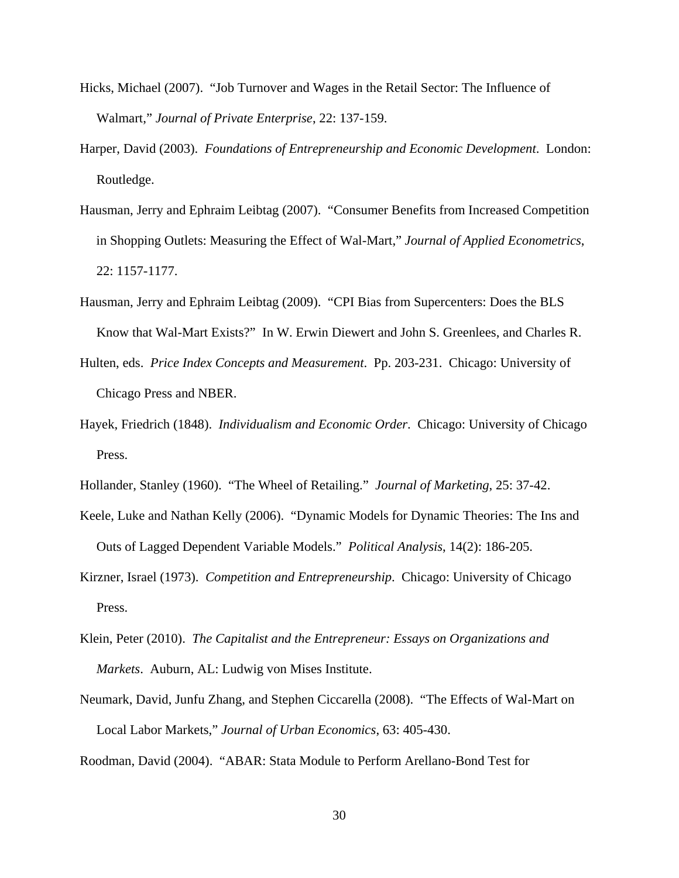- Hicks, Michael (2007). "Job Turnover and Wages in the Retail Sector: The Influence of Walmart," *Journal of Private Enterprise*, 22: 137-159.
- Harper, David (2003). *Foundations of Entrepreneurship and Economic Development*. London: Routledge.
- Hausman, Jerry and Ephraim Leibtag (2007). "Consumer Benefits from Increased Competition in Shopping Outlets: Measuring the Effect of Wal-Mart," *Journal of Applied Econometrics*, 22: 1157-1177.
- Hausman, Jerry and Ephraim Leibtag (2009). "CPI Bias from Supercenters: Does the BLS Know that Wal-Mart Exists?" In W. Erwin Diewert and John S. Greenlees, and Charles R.
- Hulten, eds. *Price Index Concepts and Measurement*. Pp. 203-231. Chicago: University of Chicago Press and NBER.
- Hayek, Friedrich (1848). *Individualism and Economic Order*. Chicago: University of Chicago Press.
- Hollander, Stanley (1960). "The Wheel of Retailing." *Journal of Marketing*, 25: 37-42.
- Keele, Luke and Nathan Kelly (2006). "Dynamic Models for Dynamic Theories: The Ins and Outs of Lagged Dependent Variable Models." *Political Analysis*, 14(2): 186-205.
- Kirzner, Israel (1973). *Competition and Entrepreneurship*. Chicago: University of Chicago Press.
- Klein, Peter (2010). *The Capitalist and the Entrepreneur: Essays on Organizations and Markets*. Auburn, AL: Ludwig von Mises Institute.
- Neumark, David, Junfu Zhang, and Stephen Ciccarella (2008). "The Effects of Wal-Mart on Local Labor Markets," *Journal of Urban Economics*, 63: 405-430.

Roodman, David (2004). "ABAR: Stata Module to Perform Arellano-Bond Test for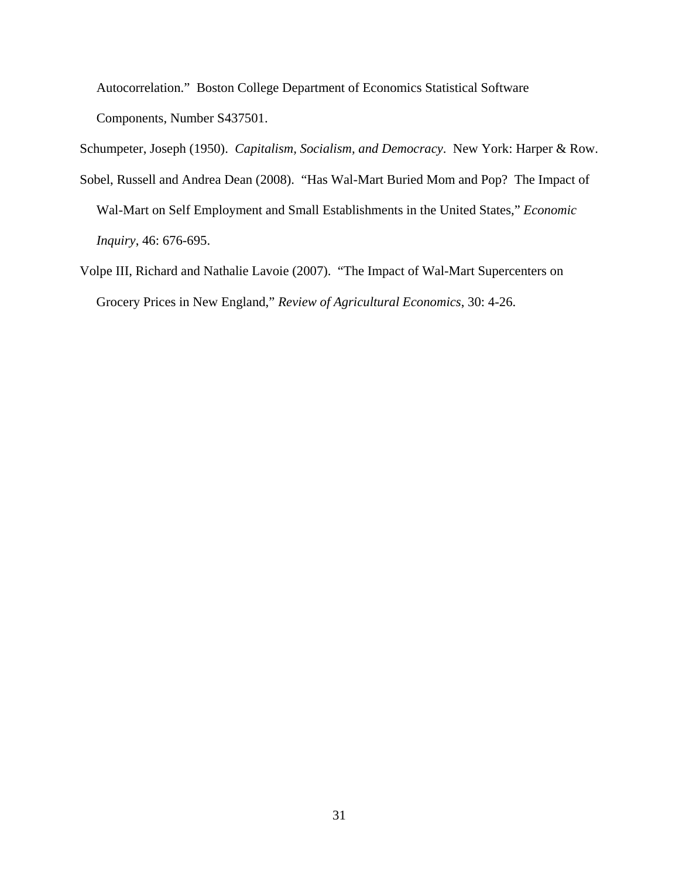Autocorrelation." Boston College Department of Economics Statistical Software Components, Number S437501.

Schumpeter, Joseph (1950). *Capitalism, Socialism, and Democracy*. New York: Harper & Row.

- Sobel, Russell and Andrea Dean (2008). "Has Wal-Mart Buried Mom and Pop? The Impact of Wal-Mart on Self Employment and Small Establishments in the United States," *Economic Inquiry*, 46: 676-695.
- Volpe III, Richard and Nathalie Lavoie (2007). "The Impact of Wal-Mart Supercenters on Grocery Prices in New England," *Review of Agricultural Economics*, 30: 4-26.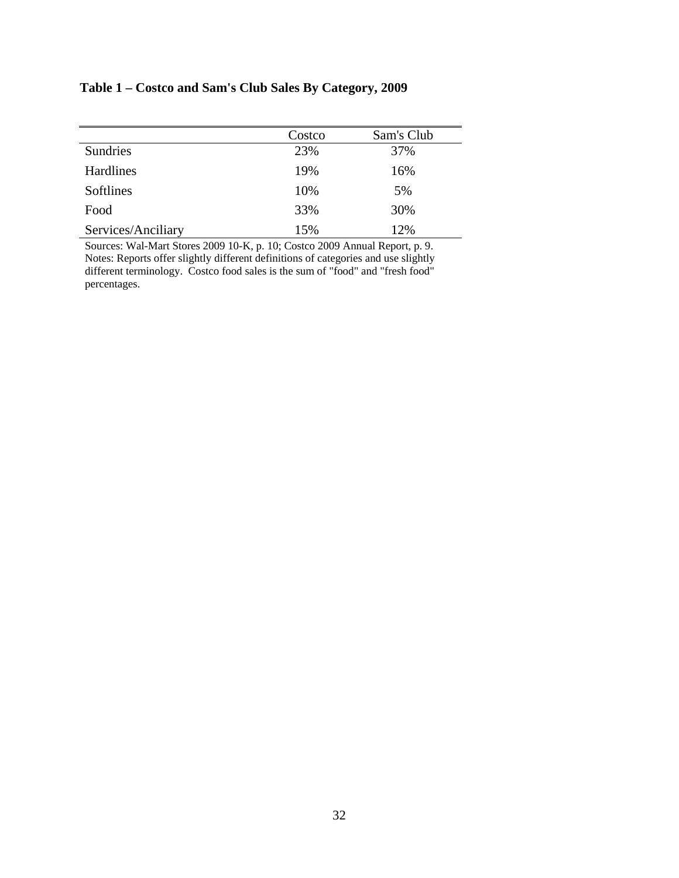# **Table 1 – Costco and Sam's Club Sales By Category, 2009**

|                    | Costco | Sam's Club |
|--------------------|--------|------------|
| Sundries           | 23%    | 37%        |
| <b>Hardlines</b>   | 19%    | 16%        |
| Softlines          | 10%    | 5%         |
| Food               | 33%    | 30%        |
| Services/Anciliary | 15%    | 12%        |

Sources: Wal-Mart Stores 2009 10-K, p. 10; Costco 2009 Annual Report, p. 9. Notes: Reports offer slightly different definitions of categories and use slightly different terminology. Costco food sales is the sum of "food" and "fresh food" percentages.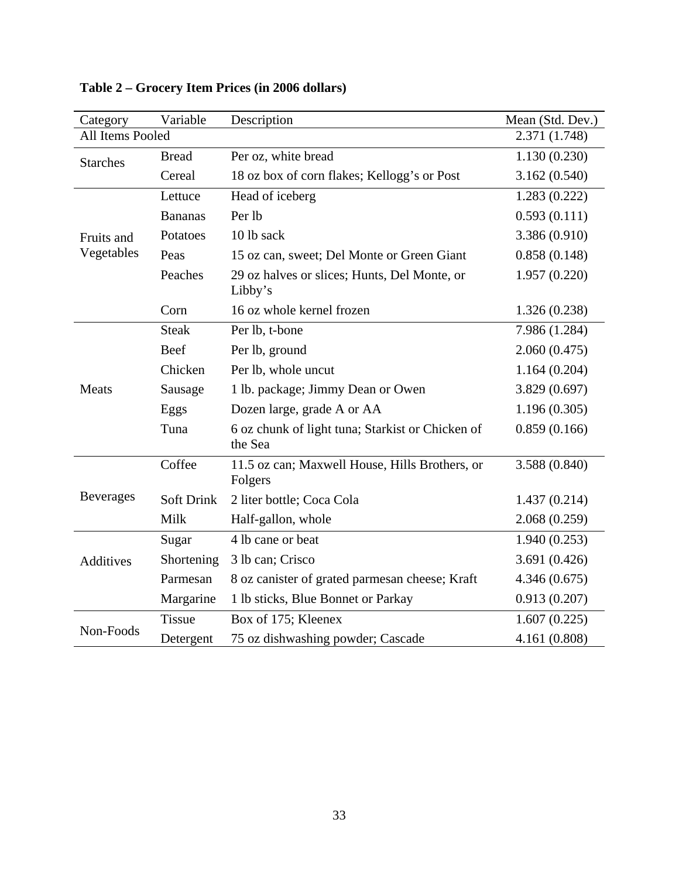| Category         | Variable          | Description                                                 | Mean (Std. Dev.) |
|------------------|-------------------|-------------------------------------------------------------|------------------|
| All Items Pooled |                   |                                                             | 2.371 (1.748)    |
| <b>Starches</b>  | <b>Bread</b>      | Per oz, white bread                                         | 1.130(0.230)     |
|                  | Cereal            | 18 oz box of corn flakes; Kellogg's or Post                 | 3.162(0.540)     |
|                  | Lettuce           | Head of iceberg                                             | 1.283(0.222)     |
|                  | <b>Bananas</b>    | Per lb                                                      | 0.593(0.111)     |
| Fruits and       | Potatoes          | 10 lb sack                                                  | 3.386 (0.910)    |
| Vegetables       | Peas              | 15 oz can, sweet; Del Monte or Green Giant                  | 0.858(0.148)     |
|                  | Peaches           | 29 oz halves or slices; Hunts, Del Monte, or<br>Libby's     | 1.957(0.220)     |
|                  | Corn              | 16 oz whole kernel frozen                                   | 1.326(0.238)     |
|                  | <b>Steak</b>      | Per lb, t-bone                                              | 7.986 (1.284)    |
|                  | Beef              | Per lb, ground                                              | 2.060(0.475)     |
|                  | Chicken           | Per lb, whole uncut                                         | 1.164(0.204)     |
| Meats            | Sausage           | 1 lb. package; Jimmy Dean or Owen                           | 3.829 (0.697)    |
|                  | Eggs              | Dozen large, grade A or AA                                  | 1.196(0.305)     |
|                  | Tuna              | 6 oz chunk of light tuna; Starkist or Chicken of<br>the Sea | 0.859(0.166)     |
|                  | Coffee            | 11.5 oz can; Maxwell House, Hills Brothers, or<br>Folgers   | 3.588 (0.840)    |
| <b>Beverages</b> | <b>Soft Drink</b> | 2 liter bottle; Coca Cola                                   | 1.437(0.214)     |
|                  | Milk              | Half-gallon, whole                                          | 2.068(0.259)     |
|                  | Sugar             | 4 lb cane or beat                                           | 1.940(0.253)     |
| <b>Additives</b> | Shortening        | 3 lb can; Crisco                                            | 3.691(0.426)     |
|                  | Parmesan          | 8 oz canister of grated parmesan cheese; Kraft              | 4.346(0.675)     |
|                  | Margarine         | 1 lb sticks, Blue Bonnet or Parkay                          | 0.913(0.207)     |
|                  | <b>Tissue</b>     | Box of 175; Kleenex                                         | 1.607(0.225)     |
| Non-Foods        | Detergent         | 75 oz dishwashing powder; Cascade                           | 4.161 (0.808)    |

**Table 2 – Grocery Item Prices (in 2006 dollars)**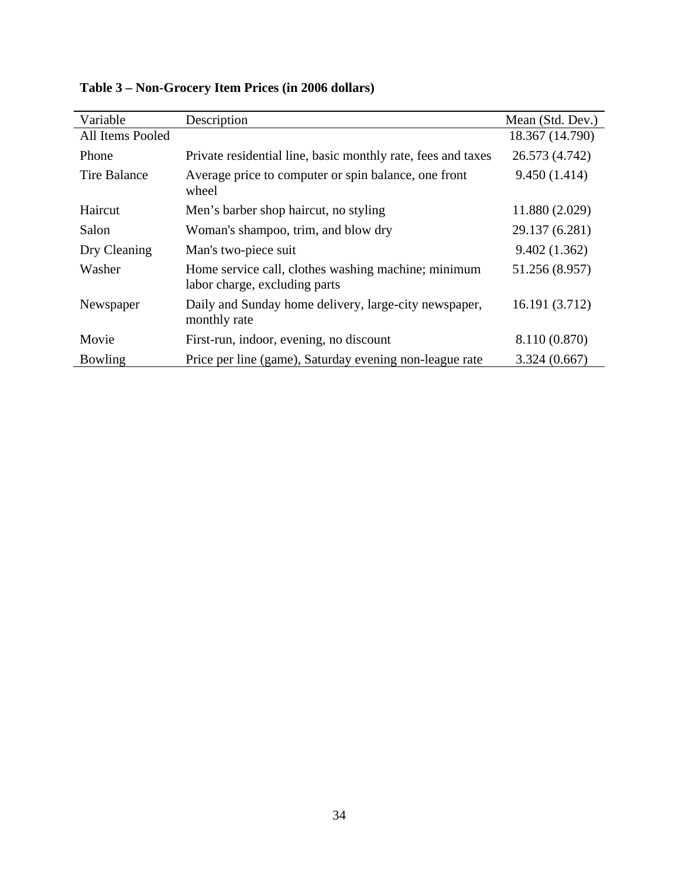| Variable         | Description                                                                          | Mean (Std. Dev.) |
|------------------|--------------------------------------------------------------------------------------|------------------|
| All Items Pooled |                                                                                      | 18.367 (14.790)  |
| Phone            | Private residential line, basic monthly rate, fees and taxes                         | 26.573 (4.742)   |
| Tire Balance     | Average price to computer or spin balance, one front<br>wheel                        | 9.450 (1.414)    |
| Haircut          | Men's barber shop haircut, no styling                                                | 11.880 (2.029)   |
| Salon            | Woman's shampoo, trim, and blow dry                                                  | 29.137 (6.281)   |
| Dry Cleaning     | Man's two-piece suit                                                                 | 9.402(1.362)     |
| Washer           | Home service call, clothes washing machine; minimum<br>labor charge, excluding parts | 51.256 (8.957)   |
| Newspaper        | Daily and Sunday home delivery, large-city newspaper,<br>monthly rate                | 16.191 (3.712)   |
| Movie            | First-run, indoor, evening, no discount                                              | 8.110 (0.870)    |
| Bowling          | Price per line (game), Saturday evening non-league rate                              | 3.324(0.667)     |

**Table 3 – Non-Grocery Item Prices (in 2006 dollars)**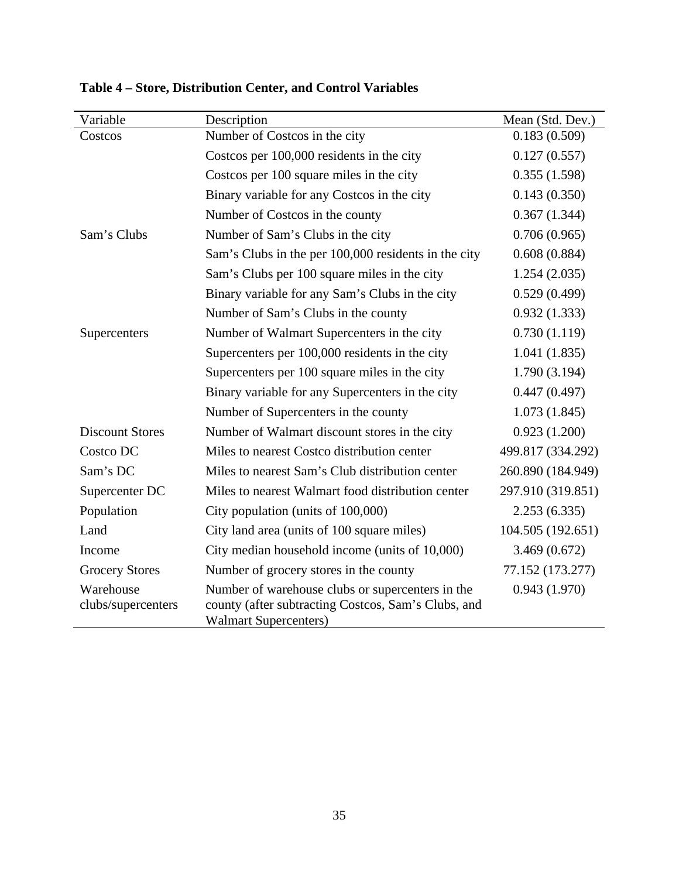| Variable                        | Description                                                                                                                             | Mean (Std. Dev.)  |
|---------------------------------|-----------------------------------------------------------------------------------------------------------------------------------------|-------------------|
| Costcos                         | Number of Costcos in the city                                                                                                           | 0.183(0.509)      |
|                                 | Costcos per 100,000 residents in the city                                                                                               | 0.127(0.557)      |
|                                 | Costcos per 100 square miles in the city                                                                                                | 0.355(1.598)      |
|                                 | Binary variable for any Costcos in the city                                                                                             | 0.143(0.350)      |
|                                 | Number of Costcos in the county                                                                                                         | 0.367(1.344)      |
| Sam's Clubs                     | Number of Sam's Clubs in the city                                                                                                       | 0.706(0.965)      |
|                                 | Sam's Clubs in the per 100,000 residents in the city                                                                                    | 0.608(0.884)      |
|                                 | Sam's Clubs per 100 square miles in the city                                                                                            | 1.254(2.035)      |
|                                 | Binary variable for any Sam's Clubs in the city                                                                                         | 0.529(0.499)      |
|                                 | Number of Sam's Clubs in the county                                                                                                     | 0.932(1.333)      |
| Supercenters                    | Number of Walmart Supercenters in the city                                                                                              | 0.730(1.119)      |
|                                 | Supercenters per 100,000 residents in the city                                                                                          | 1.041(1.835)      |
|                                 | Supercenters per 100 square miles in the city                                                                                           | 1.790(3.194)      |
|                                 | Binary variable for any Supercenters in the city                                                                                        | 0.447(0.497)      |
|                                 | Number of Supercenters in the county                                                                                                    | 1.073(1.845)      |
| <b>Discount Stores</b>          | Number of Walmart discount stores in the city                                                                                           | 0.923(1.200)      |
| Costco DC                       | Miles to nearest Costco distribution center                                                                                             | 499.817 (334.292) |
| Sam's DC                        | Miles to nearest Sam's Club distribution center                                                                                         | 260.890 (184.949) |
| Supercenter DC                  | Miles to nearest Walmart food distribution center                                                                                       | 297.910 (319.851) |
| Population                      | City population (units of 100,000)                                                                                                      | 2.253(6.335)      |
| Land                            | City land area (units of 100 square miles)                                                                                              | 104.505 (192.651) |
| Income                          | City median household income (units of 10,000)                                                                                          | 3.469(0.672)      |
| <b>Grocery Stores</b>           | Number of grocery stores in the county                                                                                                  | 77.152 (173.277)  |
| Warehouse<br>clubs/supercenters | Number of warehouse clubs or supercenters in the<br>county (after subtracting Costcos, Sam's Clubs, and<br><b>Walmart Supercenters)</b> | 0.943(1.970)      |

**Table 4 – Store, Distribution Center, and Control Variables**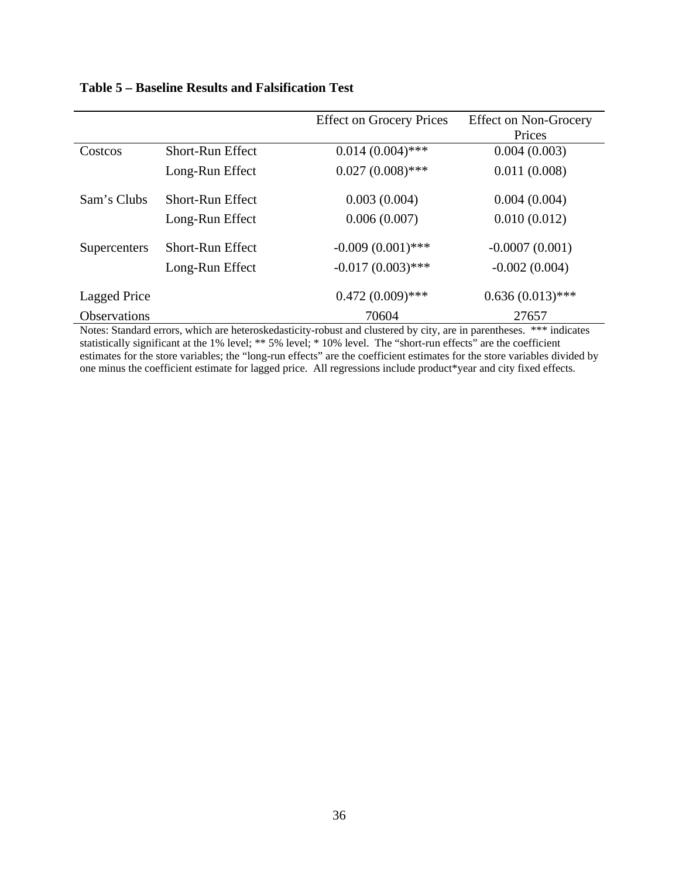|              |                         | <b>Effect on Grocery Prices</b> | <b>Effect on Non-Grocery</b> |
|--------------|-------------------------|---------------------------------|------------------------------|
|              |                         |                                 | Prices                       |
| Costcos      | <b>Short-Run Effect</b> | $0.014(0.004)$ ***              | 0.004(0.003)                 |
|              | Long-Run Effect         | $0.027(0.008)$ ***              | 0.011(0.008)                 |
| Sam's Clubs  | <b>Short-Run Effect</b> | 0.003(0.004)                    | 0.004(0.004)                 |
|              | Long-Run Effect         | 0.006(0.007)                    | 0.010(0.012)                 |
| Supercenters | Short-Run Effect        | $-0.009(0.001)$ ***             | $-0.0007(0.001)$             |
|              | Long-Run Effect         | $-0.017(0.003)$ ***             | $-0.002(0.004)$              |
| Lagged Price |                         | $0.472(0.009)$ ***              | $0.636(0.013)$ ***           |
| Observations |                         | 70604                           | 27657                        |

# **Table 5 – Baseline Results and Falsification Test**

Notes: Standard errors, which are heteroskedasticity-robust and clustered by city, are in parentheses. \*\*\* indicates statistically significant at the 1% level; \*\* 5% level; \* 10% level. The "short-run effects" are the coefficient estimates for the store variables; the "long-run effects" are the coefficient estimates for the store variables divided by one minus the coefficient estimate for lagged price. All regressions include product\*year and city fixed effects.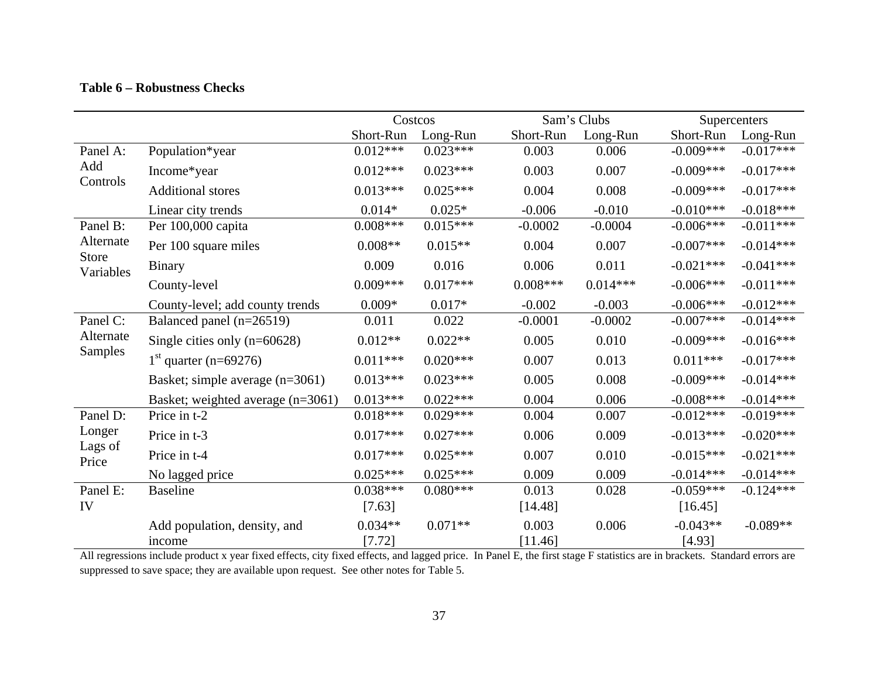#### **Table 6 – Robustness Checks**

|                    |                                   |            | Costcos    |            | Sam's Clubs |              | Supercenters |
|--------------------|-----------------------------------|------------|------------|------------|-------------|--------------|--------------|
|                    |                                   | Short-Run  | Long-Run   | Short-Run  | Long-Run    | Short-Run    | Long-Run     |
| Panel A:           | Population*year                   | $0.012***$ | $0.023***$ | 0.003      | 0.006       | $-0.009***$  | $-0.017***$  |
| Add                | Income*year                       | $0.012***$ | $0.023***$ | 0.003      | 0.007       | $-0.009***$  | $-0.017***$  |
| Controls           | <b>Additional stores</b>          | $0.013***$ | $0.025***$ | 0.004      | 0.008       | $-0.009***$  | $-0.017***$  |
|                    | Linear city trends                | $0.014*$   | $0.025*$   | $-0.006$   | $-0.010$    | $-0.010***$  | $-0.018***$  |
| Panel B:           | Per 100,000 capita                | $0.008***$ | $0.015***$ | $-0.0002$  | $-0.0004$   | $-0.006***$  | $-0.011***$  |
| Alternate          | Per 100 square miles              | $0.008**$  | $0.015**$  | 0.004      | 0.007       | $-0.007***$  | $-0.014***$  |
| Store<br>Variables | <b>Binary</b>                     | 0.009      | 0.016      | 0.006      | 0.011       | $-0.021***$  | $-0.041***$  |
|                    | County-level                      | $0.009***$ | $0.017***$ | $0.008***$ | $0.014***$  | $-0.006***$  | $-0.011***$  |
|                    | County-level; add county trends   | $0.009*$   | $0.017*$   | $-0.002$   | $-0.003$    | $-0.006***$  | $-0.012***$  |
| Panel C:           | Balanced panel $(n=26519)$        | 0.011      | 0.022      | $-0.0001$  | $-0.0002$   | $-0.007$ *** | $-0.014***$  |
| Alternate          | Single cities only $(n=60628)$    | $0.012**$  | $0.022**$  | 0.005      | 0.010       | $-0.009***$  | $-0.016***$  |
| Samples            | $1st$ quarter (n=69276)           | $0.011***$ | $0.020***$ | 0.007      | 0.013       | $0.011***$   | $-0.017***$  |
|                    | Basket; simple average (n=3061)   | $0.013***$ | $0.023***$ | 0.005      | 0.008       | $-0.009***$  | $-0.014***$  |
|                    | Basket; weighted average (n=3061) | $0.013***$ | $0.022***$ | 0.004      | 0.006       | $-0.008***$  | $-0.014***$  |
| Panel D:           | Price in t-2                      | $0.018***$ | $0.029***$ | 0.004      | 0.007       | $-0.012***$  | $-0.019***$  |
| Longer             | Price in t-3                      | $0.017***$ | $0.027***$ | 0.006      | 0.009       | $-0.013***$  | $-0.020***$  |
| Lags of<br>Price   | Price in t-4                      | $0.017***$ | $0.025***$ | 0.007      | 0.010       | $-0.015***$  | $-0.021***$  |
|                    | No lagged price                   | $0.025***$ | $0.025***$ | 0.009      | 0.009       | $-0.014***$  | $-0.014***$  |
| Panel E:           | <b>Baseline</b>                   | $0.038***$ | $0.080***$ | 0.013      | 0.028       | $-0.059***$  | $-0.124***$  |
| IV                 |                                   | [7.63]     |            | [14.48]    |             | [16.45]      |              |
|                    | Add population, density, and      | $0.034**$  | $0.071**$  | 0.003      | 0.006       | $-0.043**$   | $-0.089**$   |
|                    | income                            | [7.72]     |            | [11.46]    |             | [4.93]       |              |

All regressions include product x year fixed effects, city fixed effects, and lagged price. In Panel E, the first stage F statistics are in brackets. Standard errors are suppressed to save space; they are available upon request. See other notes for Table 5.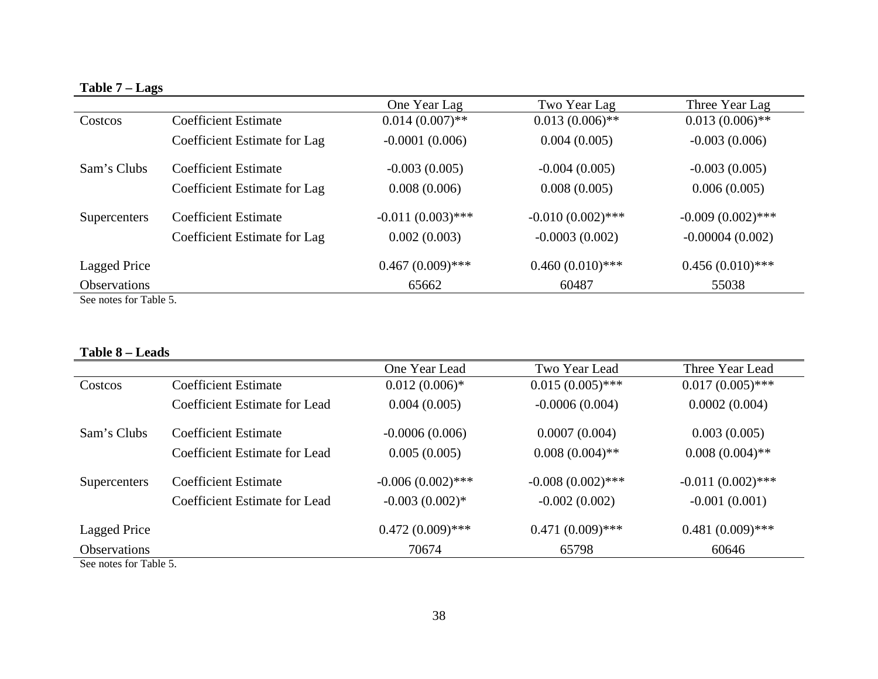# **Table 7 – Lags**

|                     |                              | One Year Lag        | Two Year Lag        | Three Year Lag      |
|---------------------|------------------------------|---------------------|---------------------|---------------------|
| Costcos             | <b>Coefficient Estimate</b>  | $0.014(0.007)$ **   | $0.013(0.006)$ **   | $0.013(0.006)$ **   |
|                     | Coefficient Estimate for Lag | $-0.0001(0.006)$    | 0.004(0.005)        | $-0.003(0.006)$     |
| Sam's Clubs         | Coefficient Estimate         | $-0.003(0.005)$     | $-0.004(0.005)$     | $-0.003(0.005)$     |
|                     | Coefficient Estimate for Lag | 0.008(0.006)        | 0.008(0.005)        | 0.006(0.005)        |
| Supercenters        | <b>Coefficient Estimate</b>  | $-0.011(0.003)$ *** | $-0.010(0.002)$ *** | $-0.009(0.002)$ *** |
|                     | Coefficient Estimate for Lag | 0.002(0.003)        | $-0.0003(0.002)$    | $-0.00004(0.002)$   |
| Lagged Price        |                              | $0.467(0.009)$ ***  | $0.460(0.010)$ ***  | $0.456(0.010)$ ***  |
| <b>Observations</b> |                              | 65662               | 60487               | 55038               |

See notes for Table 5.

#### **Table 8 – Leads**

|                                      | One Year Lead       | Two Year Lead       | Three Year Lead     |
|--------------------------------------|---------------------|---------------------|---------------------|
| <b>Coefficient Estimate</b>          | $0.012(0.006)*$     | $0.015(0.005)$ ***  | $0.017(0.005)$ ***  |
| <b>Coefficient Estimate for Lead</b> | 0.004(0.005)        | $-0.0006(0.004)$    | 0.0002(0.004)       |
| Coefficient Estimate                 | $-0.0006(0.006)$    | 0.0007(0.004)       | 0.003(0.005)        |
| <b>Coefficient Estimate for Lead</b> | 0.005(0.005)        | $0.008(0.004)$ **   | $0.008(0.004)$ **   |
| <b>Coefficient Estimate</b>          | $-0.006(0.002)$ *** | $-0.008(0.002)$ *** | $-0.011(0.002)$ *** |
| Coefficient Estimate for Lead        | $-0.003(0.002)*$    | $-0.002(0.002)$     | $-0.001(0.001)$     |
|                                      | $0.472(0.009)$ ***  | $0.471(0.009)$ ***  | $0.481(0.009)$ ***  |
|                                      | 70674               | 65798               | 60646               |
|                                      |                     |                     |                     |

See notes for Table 5.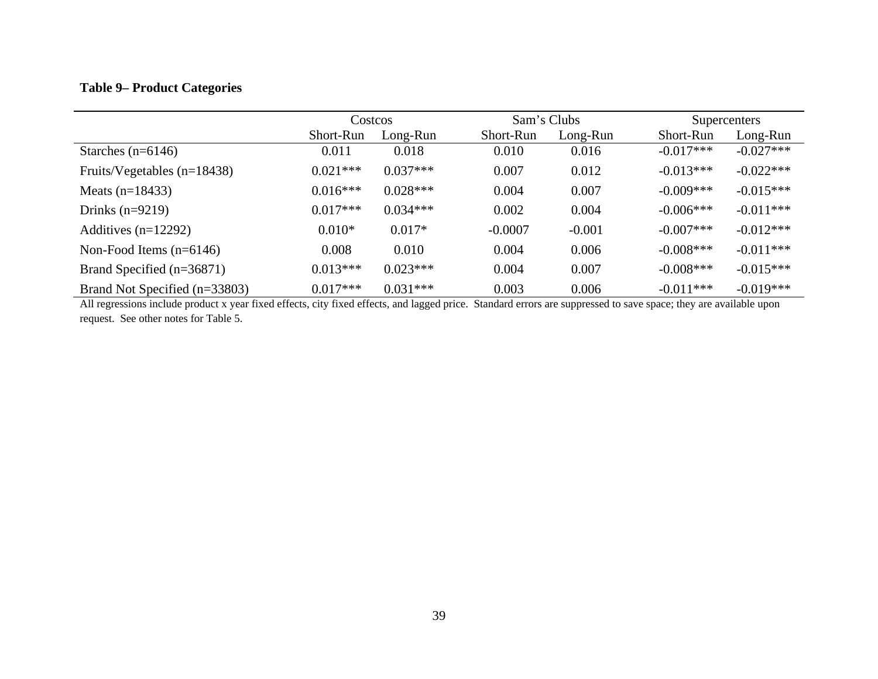# **Table 9– Product Categories**

|                               | <b>Costcos</b> |            |           | Sam's Clubs |              | Supercenters |  |
|-------------------------------|----------------|------------|-----------|-------------|--------------|--------------|--|
|                               | Short-Run      | Long-Run   | Short-Run | Long-Run    | Short-Run    | Long-Run     |  |
| Starches $(n=6146)$           | 0.011          | 0.018      | 0.010     | 0.016       | $-0.017***$  | $-0.027***$  |  |
| Fruits/Vegetables $(n=18438)$ | $0.021***$     | $0.037***$ | 0.007     | 0.012       | $-0.013***$  | $-0.022***$  |  |
| Meats $(n=18433)$             | $0.016***$     | $0.028***$ | 0.004     | 0.007       | $-0.009***$  | $-0.015***$  |  |
| Drinks $(n=9219)$             | $0.017***$     | $0.034***$ | 0.002     | 0.004       | $-0.006***$  | $-0.011***$  |  |
| Additives $(n=12292)$         | $0.010*$       | $0.017*$   | $-0.0007$ | $-0.001$    | $-0.007$ *** | $-0.012***$  |  |
| Non-Food Items $(n=6146)$     | 0.008          | 0.010      | 0.004     | 0.006       | $-0.008$ *** | $-0.011***$  |  |
| Brand Specified (n=36871)     | $0.013***$     | $0.023***$ | 0.004     | 0.007       | $-0.008$ *** | $-0.015***$  |  |
| Brand Not Specified (n=33803) | $0.017***$     | $0.031***$ | 0.003     | 0.006       | $-0.011***$  | $-0.019***$  |  |

All regressions include product x year fixed effects, city fixed effects, and lagged price. Standard errors are suppressed to save space; they are available upon request. See other notes for Table 5.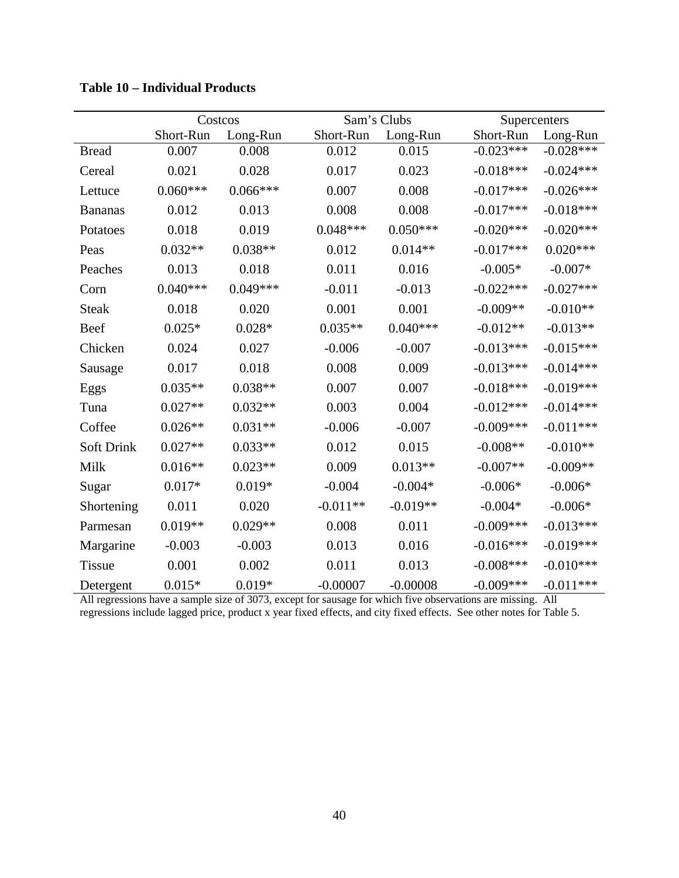|                   |            | Costcos    |            | Sam's Clubs | Supercenters |             |
|-------------------|------------|------------|------------|-------------|--------------|-------------|
|                   | Short-Run  | Long-Run   | Short-Run  | Long-Run    | Short-Run    | Long-Run    |
| <b>Bread</b>      | 0.007      | 0.008      | 0.012      | 0.015       | $-0.023***$  | $-0.028***$ |
| Cereal            | 0.021      | 0.028      | 0.017      | 0.023       | $-0.018***$  | $-0.024***$ |
| Lettuce           | $0.060***$ | $0.066***$ | 0.007      | 0.008       | $-0.017***$  | $-0.026***$ |
| <b>Bananas</b>    | 0.012      | 0.013      | 0.008      | 0.008       | $-0.017***$  | $-0.018***$ |
| Potatoes          | 0.018      | 0.019      | $0.048***$ | $0.050***$  | $-0.020***$  | $-0.020***$ |
| Peas              | $0.032**$  | $0.038**$  | 0.012      | $0.014**$   | $-0.017***$  | $0.020***$  |
| Peaches           | 0.013      | 0.018      | 0.011      | 0.016       | $-0.005*$    | $-0.007*$   |
| Corn              | $0.040***$ | $0.049***$ | $-0.011$   | $-0.013$    | $-0.022***$  | $-0.027***$ |
| <b>Steak</b>      | 0.018      | 0.020      | 0.001      | 0.001       | $-0.009**$   | $-0.010**$  |
| <b>Beef</b>       | $0.025*$   | $0.028*$   | $0.035**$  | $0.040***$  | $-0.012**$   | $-0.013**$  |
| Chicken           | 0.024      | 0.027      | $-0.006$   | $-0.007$    | $-0.013***$  | $-0.015***$ |
| Sausage           | 0.017      | 0.018      | 0.008      | 0.009       | $-0.013***$  | $-0.014***$ |
| Eggs              | $0.035**$  | $0.038**$  | 0.007      | 0.007       | $-0.018***$  | $-0.019***$ |
| Tuna              | $0.027**$  | $0.032**$  | 0.003      | 0.004       | $-0.012***$  | $-0.014***$ |
| Coffee            | $0.026**$  | $0.031**$  | $-0.006$   | $-0.007$    | $-0.009***$  | $-0.011***$ |
| <b>Soft Drink</b> | $0.027**$  | $0.033**$  | 0.012      | 0.015       | $-0.008**$   | $-0.010**$  |
| Milk              | $0.016**$  | $0.023**$  | 0.009      | $0.013**$   | $-0.007**$   | $-0.009**$  |
| Sugar             | $0.017*$   | $0.019*$   | $-0.004$   | $-0.004*$   | $-0.006*$    | $-0.006*$   |
| Shortening        | 0.011      | 0.020      | $-0.011**$ | $-0.019**$  | $-0.004*$    | $-0.006*$   |
| Parmesan          | $0.019**$  | $0.029**$  | 0.008      | 0.011       | $-0.009***$  | $-0.013***$ |
| Margarine         | $-0.003$   | $-0.003$   | 0.013      | 0.016       | $-0.016***$  | $-0.019***$ |
| <b>Tissue</b>     | 0.001      | 0.002      | 0.011      | 0.013       | $-0.008$ *** | $-0.010***$ |
| Detergent         | $0.015*$   | $0.019*$   | $-0.00007$ | $-0.00008$  | $-0.009***$  | $-0.011***$ |

**Table 10 – Individual Products** 

All regressions have a sample size of 3073, except for sausage for which five observations are missing. All regressions include lagged price, product x year fixed effects, and city fixed effects. See other notes for Table 5.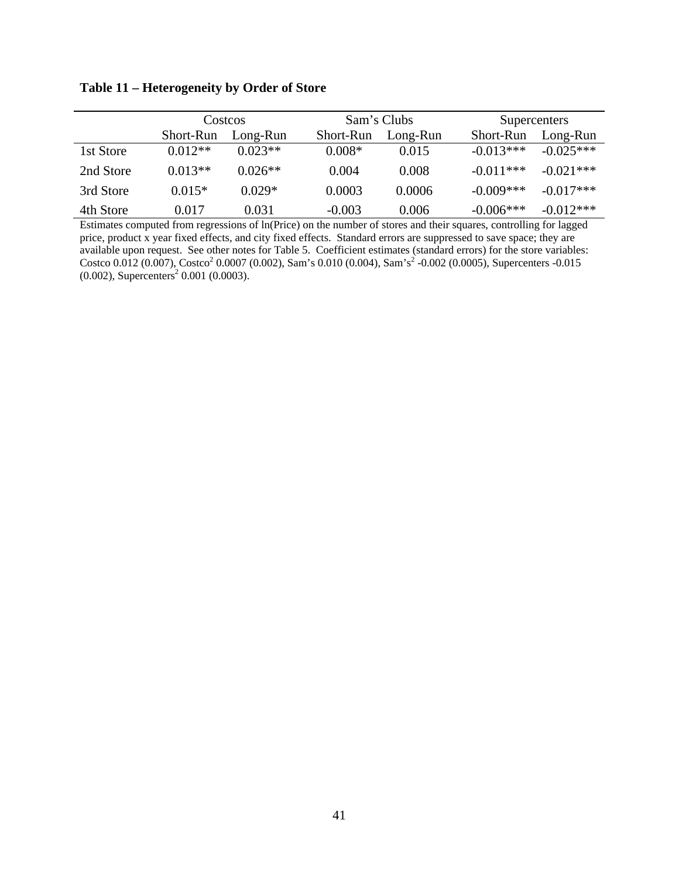**Table 11 – Heterogeneity by Order of Store** 

|           | Costcos   |           |                       | Sam's Clubs | Supercenters |             |  |
|-----------|-----------|-----------|-----------------------|-------------|--------------|-------------|--|
|           | Short-Run | Long-Run  | Short-Run<br>Long-Run |             | Short-Run    | Long-Run    |  |
| 1st Store | $0.012**$ | $0.023**$ | $0.008*$              | 0.015       | $-0.013***$  | $-0.025***$ |  |
| 2nd Store | $0.013**$ | $0.026**$ | 0.004                 | 0.008       | $-0.011***$  | $-0.021***$ |  |
| 3rd Store | $0.015*$  | $0.029*$  | 0.0003                | 0.0006      | $-0.009***$  | $-0.017***$ |  |
| 4th Store | 0.017     | 0.031     | $-0.003$              | 0.006       | $-0.006***$  | $-0.012***$ |  |

Estimates computed from regressions of ln(Price) on the number of stores and their squares, controlling for lagged price, product x year fixed effects, and city fixed effects. Standard errors are suppressed to save space; they are available upon request. See other notes for Table 5. Coefficient estimates (standard errors) for the store variables: Costco 0.012 (0.007), Costco<sup>2</sup> 0.0007 (0.002), Sam's 0.010 (0.004), Sam's<sup>2</sup> -0.002 (0.0005), Supercenters -0.015  $(0.002)$ , Supercenters<sup>2</sup> 0.001  $(0.0003)$ .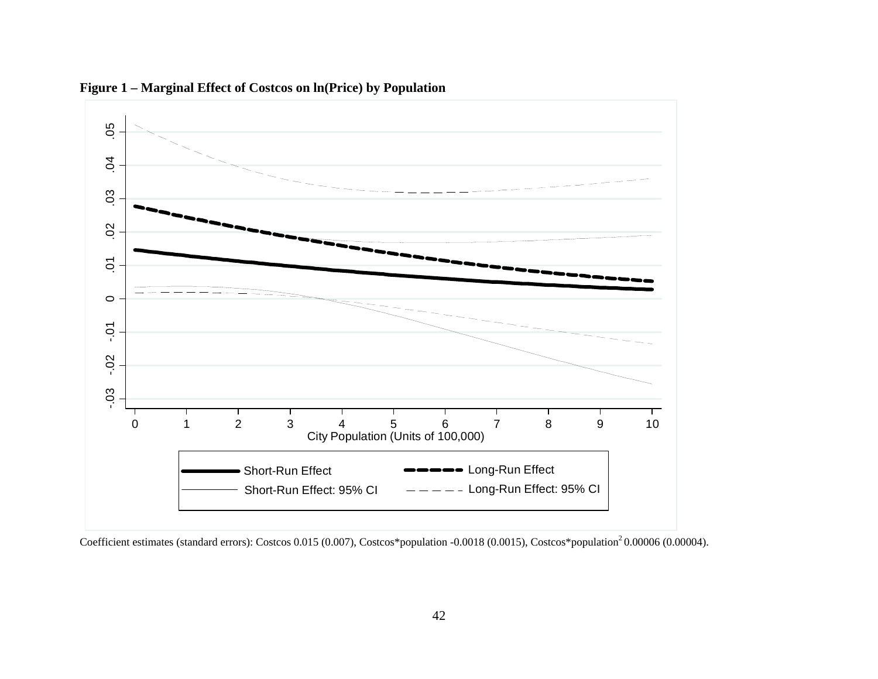

**Figure 1 – Marginal Effect of Costcos on ln(Price) by Population** 

Coefficient estimates (standard errors): Costcos 0.015 (0.007), Costcos\*population -0.0018 (0.0015), Costcos\*population<sup>2</sup> 0.00006 (0.00004).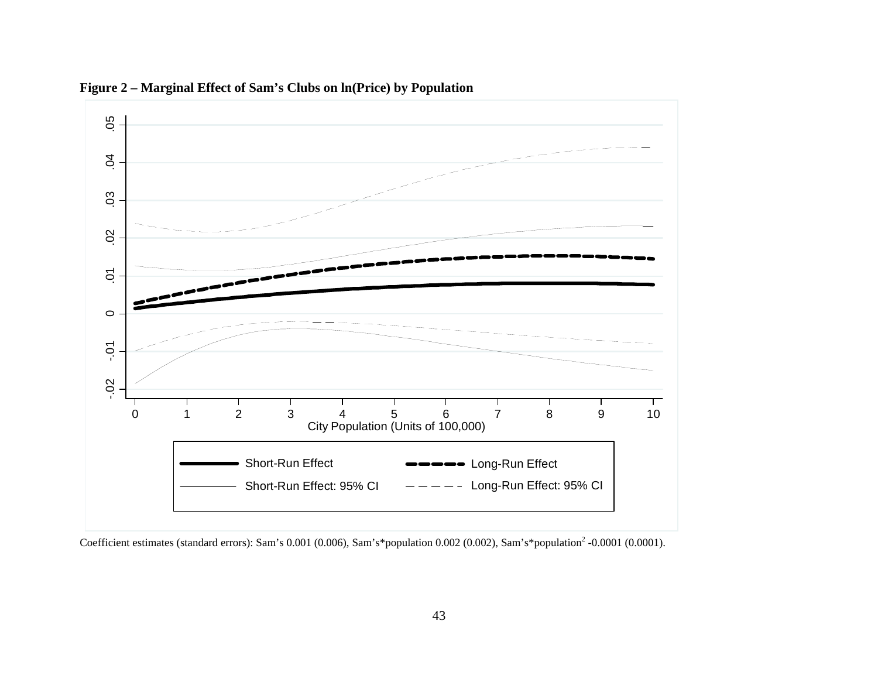

**Figure 2 – Marginal Effect of Sam's Clubs on ln(Price) by Population**

Coefficient estimates (standard errors): Sam's 0.001 (0.006), Sam's\*population 0.002 (0.002), Sam's\*population<sup>2</sup> -0.0001 (0.0001).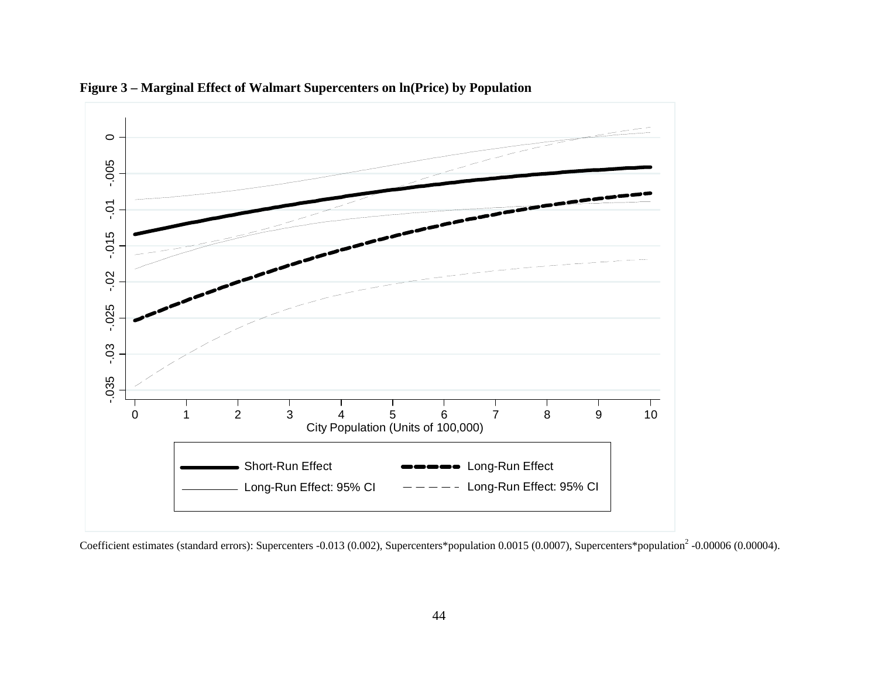

**Figure 3 – Marginal Effect of Walmart Supercenters on ln(Price) by Population** 

Coefficient estimates (standard errors): Supercenters -0.013 (0.002), Supercenters\*population 0.0015 (0.0007), Supercenters\*population2 -0.00006 (0.00004).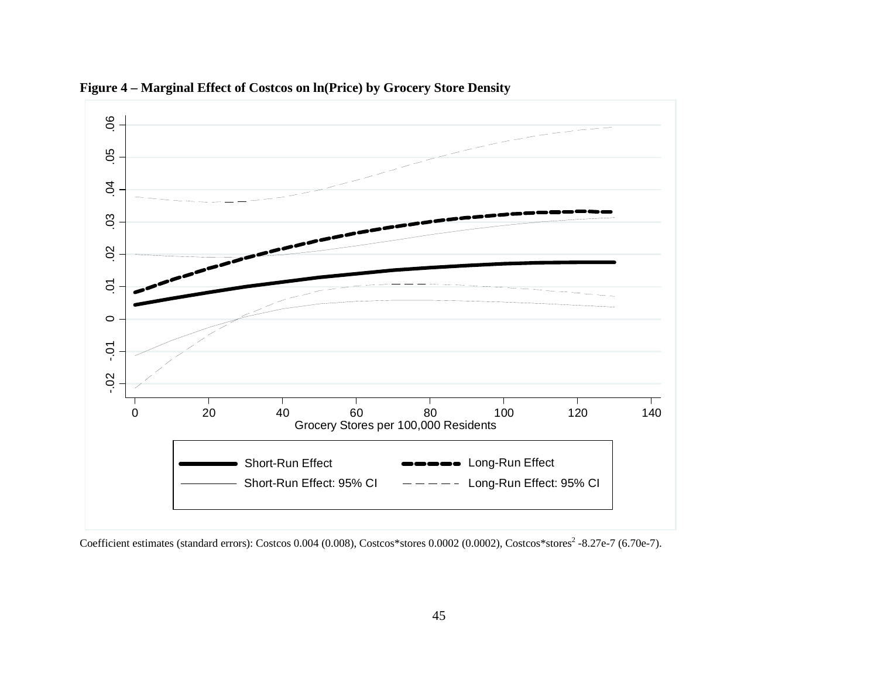

**Figure 4 – Marginal Effect of Costcos on ln(Price) by Grocery Store Density**

Coefficient estimates (standard errors): Costcos 0.004 (0.008), Costcos\*stores 0.0002 (0.0002), Costcos\*stores<sup>2</sup> -8.27e-7 (6.70e-7).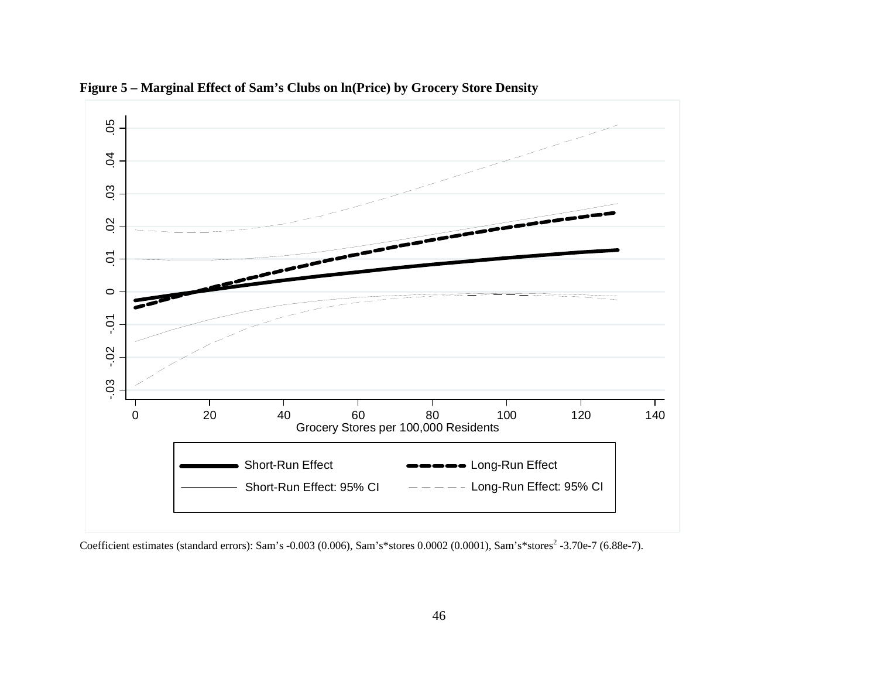

**Figure 5 – Marginal Effect of Sam's Clubs on ln(Price) by Grocery Store Density**

Coefficient estimates (standard errors): Sam's -0.003 (0.006), Sam's\*stores 0.0002 (0.0001), Sam's\*stores<sup>2</sup> -3.70e-7 (6.88e-7).